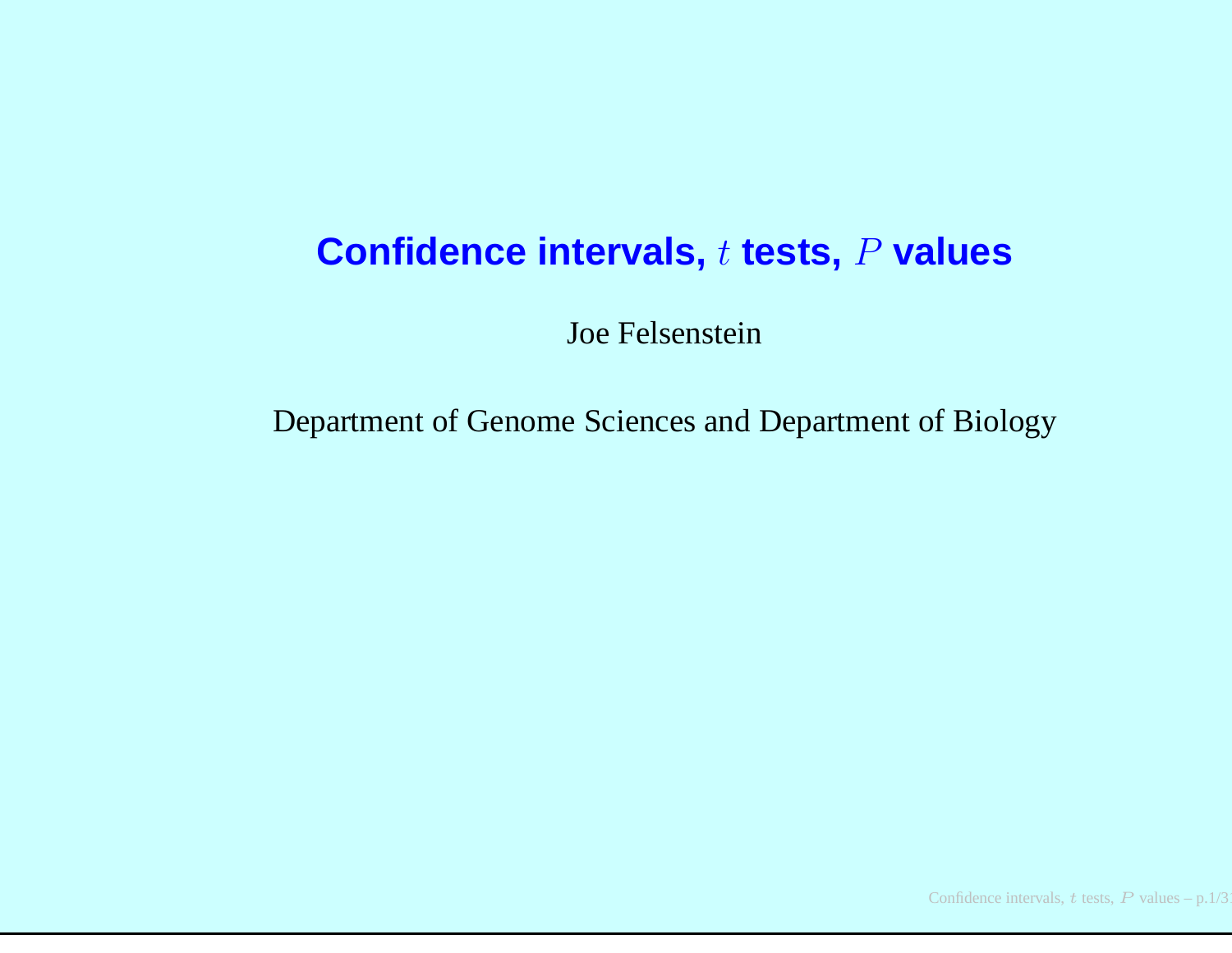# **Confidence intervals,** t **tests,** P **values**

Joe Felsenstein

Department of Genome Sciences and Department of Biology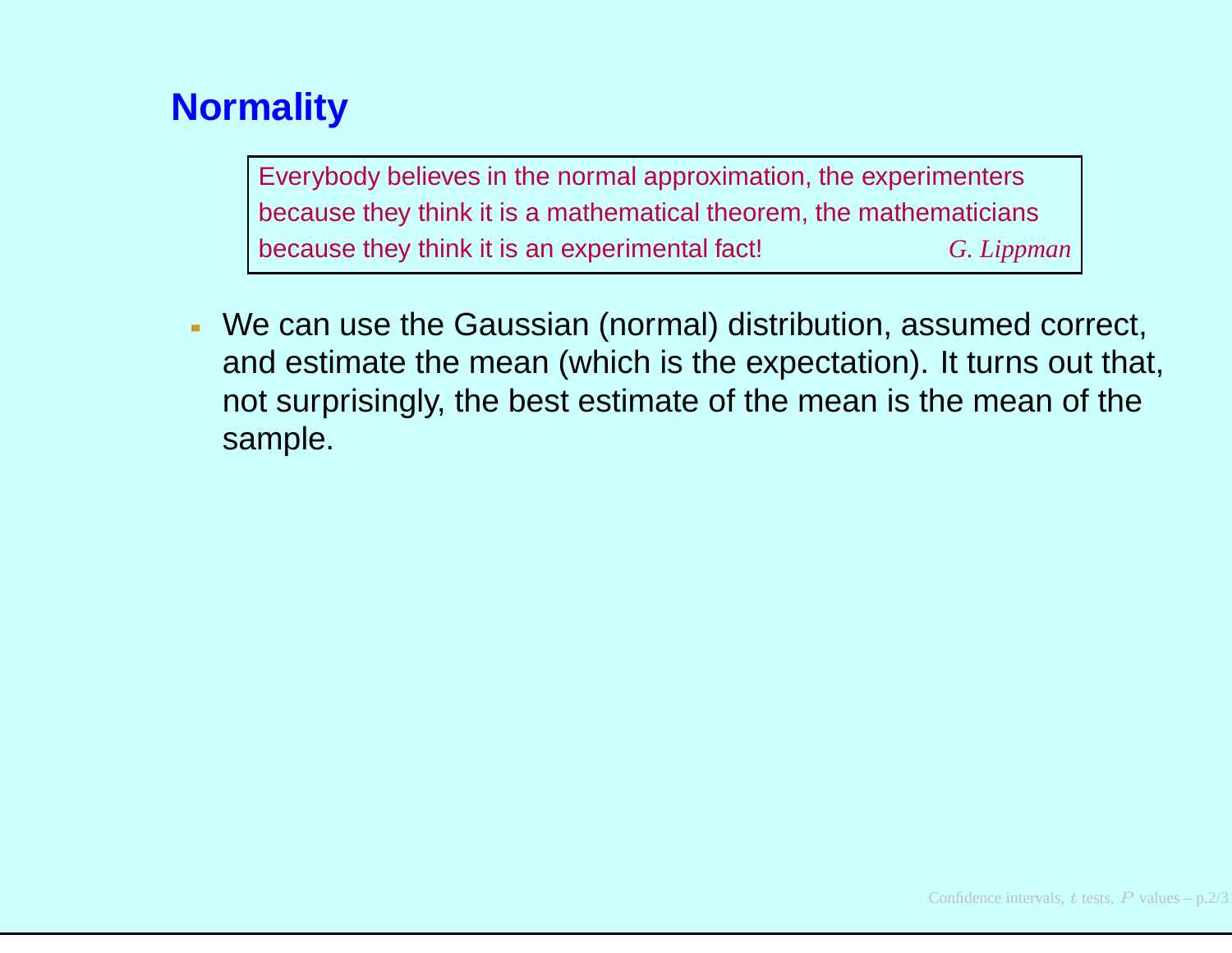Everybody believes in the normal approximation, the experimentersbecause they think it is <sup>a</sup> mathematical theorem, the mathematiciansbecause they think it is an experimental fact! *G. Lippman*

We can use the Gaussian (normal) distribution, assumed correct, and estimate the mean (which is the expectation). It turns out that, not surprisingly, the best estimate of the mean is the mean of thesample.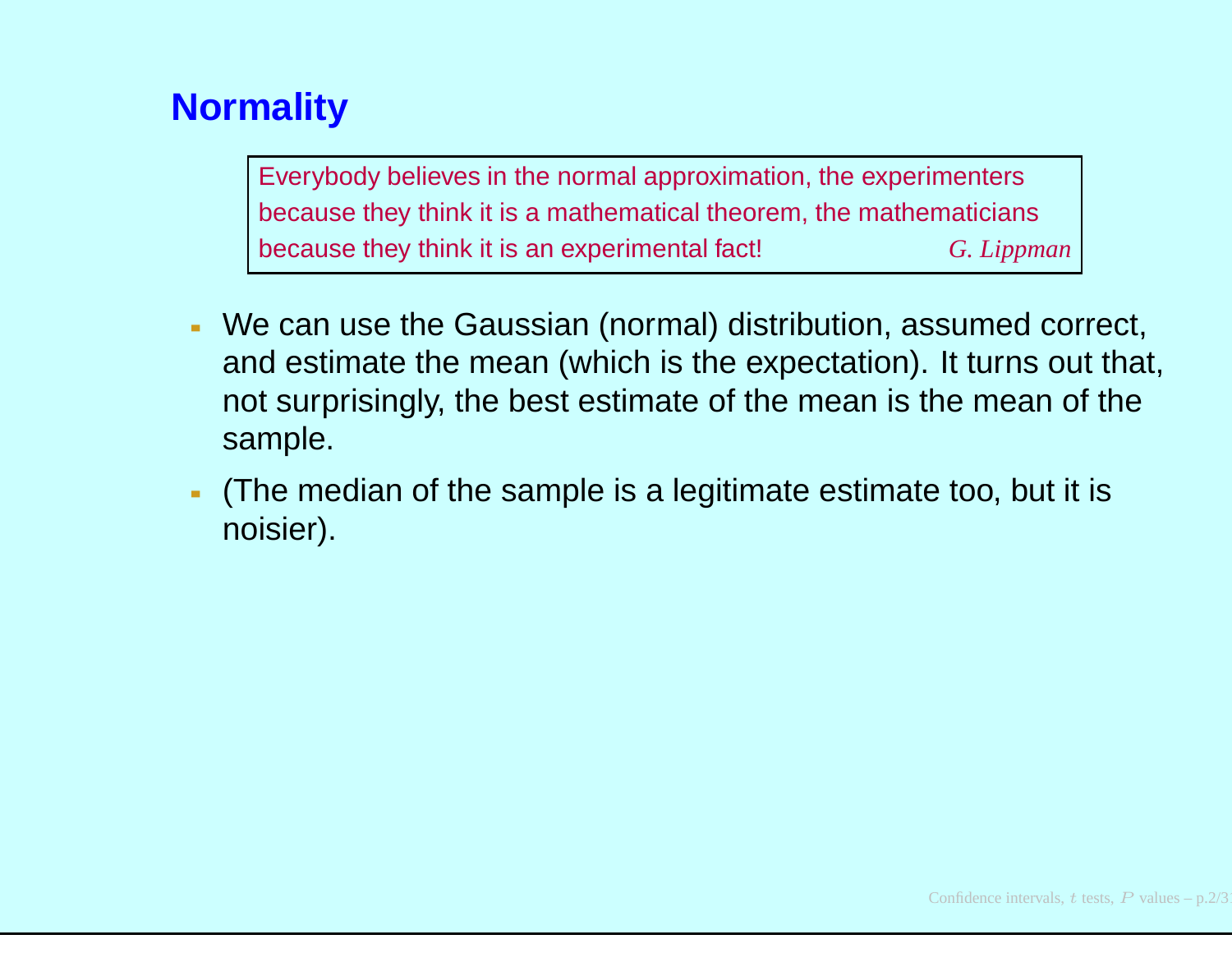- We can use the Gaussian (normal) distribution, assumed correct, and estimate the mean (which is the expectation). It turns out that, not surprisingly, the best estimate of the mean is the mean of thesample.
- (The median of the sample is <sup>a</sup> legitimate estimate too, but it isnoisier).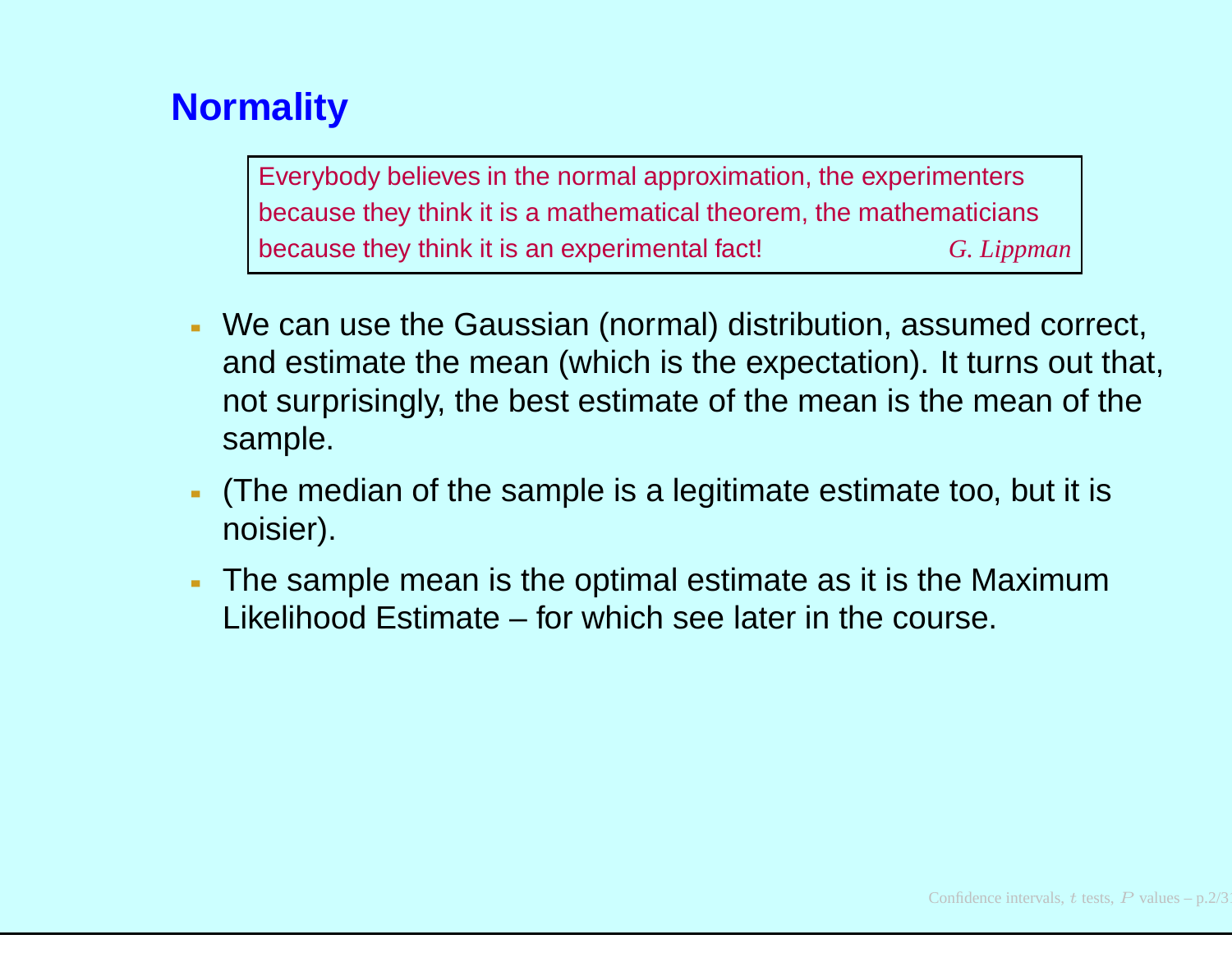- We can use the Gaussian (normal) distribution, assumed correct, and estimate the mean (which is the expectation). It turns out that, not surprisingly, the best estimate of the mean is the mean of thesample.
- (The median of the sample is <sup>a</sup> legitimate estimate too, but it isnoisier).
- The sample mean is the optimal estimate as it is the MaximumLikelihood Estimate – for which see later in the course.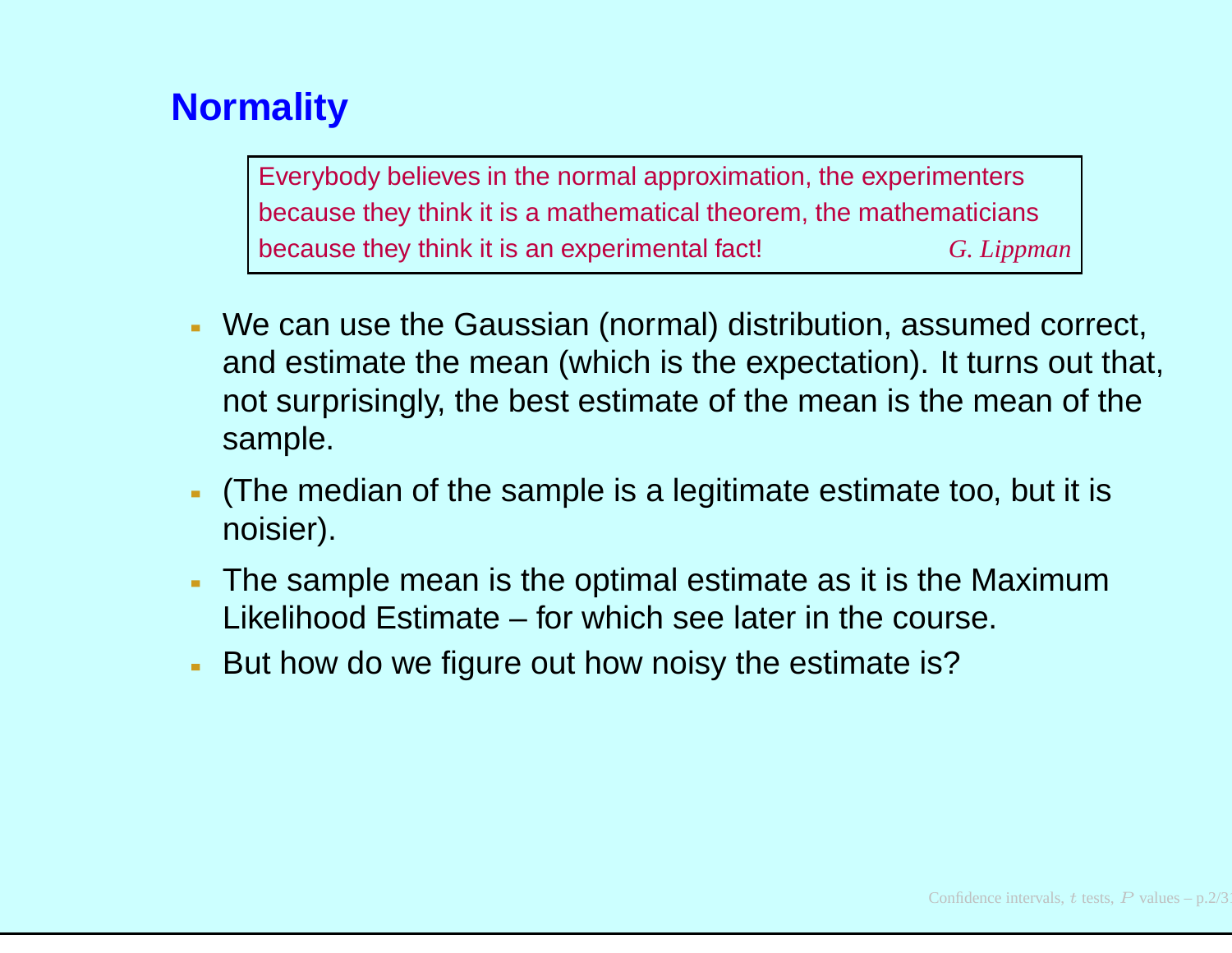- We can use the Gaussian (normal) distribution, assumed correct, and estimate the mean (which is the expectation). It turns out that, not surprisingly, the best estimate of the mean is the mean of thesample.
- (The median of the sample is <sup>a</sup> legitimate estimate too, but it isnoisier).
- The sample mean is the optimal estimate as it is the MaximumLikelihood Estimate – for which see later in the course.
- But how do we figure out how noisy the estimate is?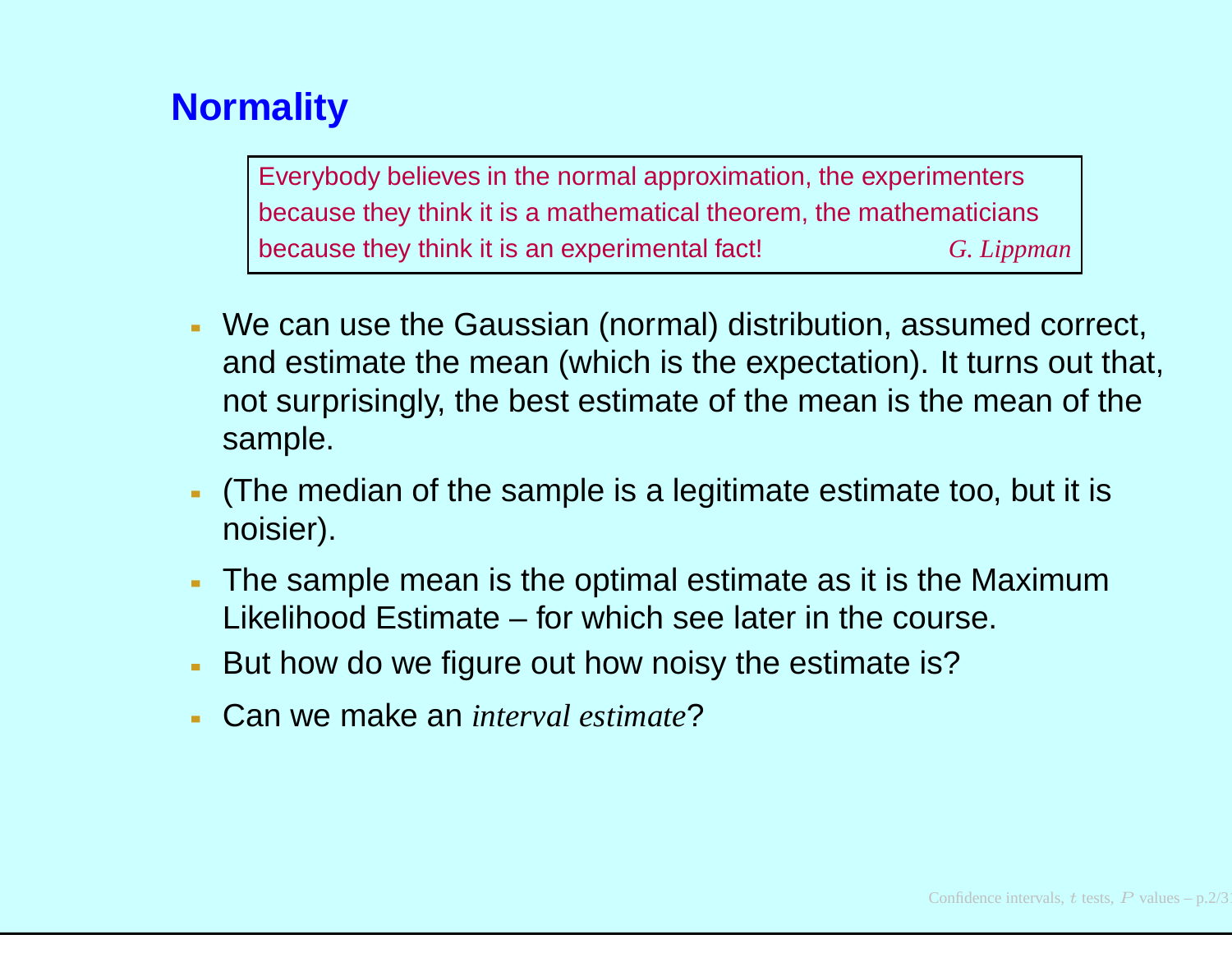- We can use the Gaussian (normal) distribution, assumed correct, and estimate the mean (which is the expectation). It turns out that, not surprisingly, the best estimate of the mean is the mean of thesample.
- (The median of the sample is <sup>a</sup> legitimate estimate too, but it isnoisier).
- The sample mean is the optimal estimate as it is the MaximumLikelihood Estimate – for which see later in the course.
- But how do we figure out how noisy the estimate is?
- Can we make an *interval estimate*?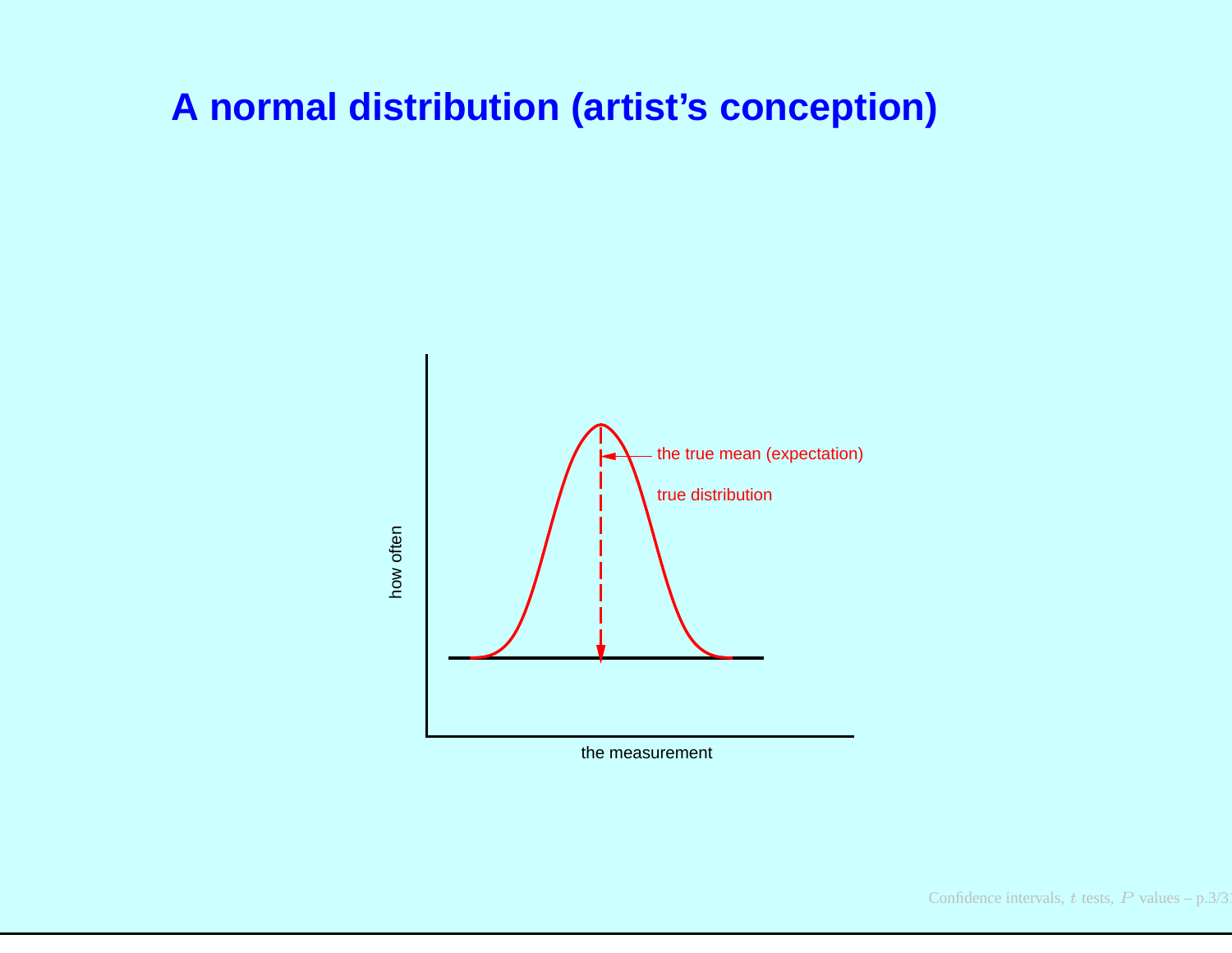#### **A normal distribution (artist's conception)**



the measurement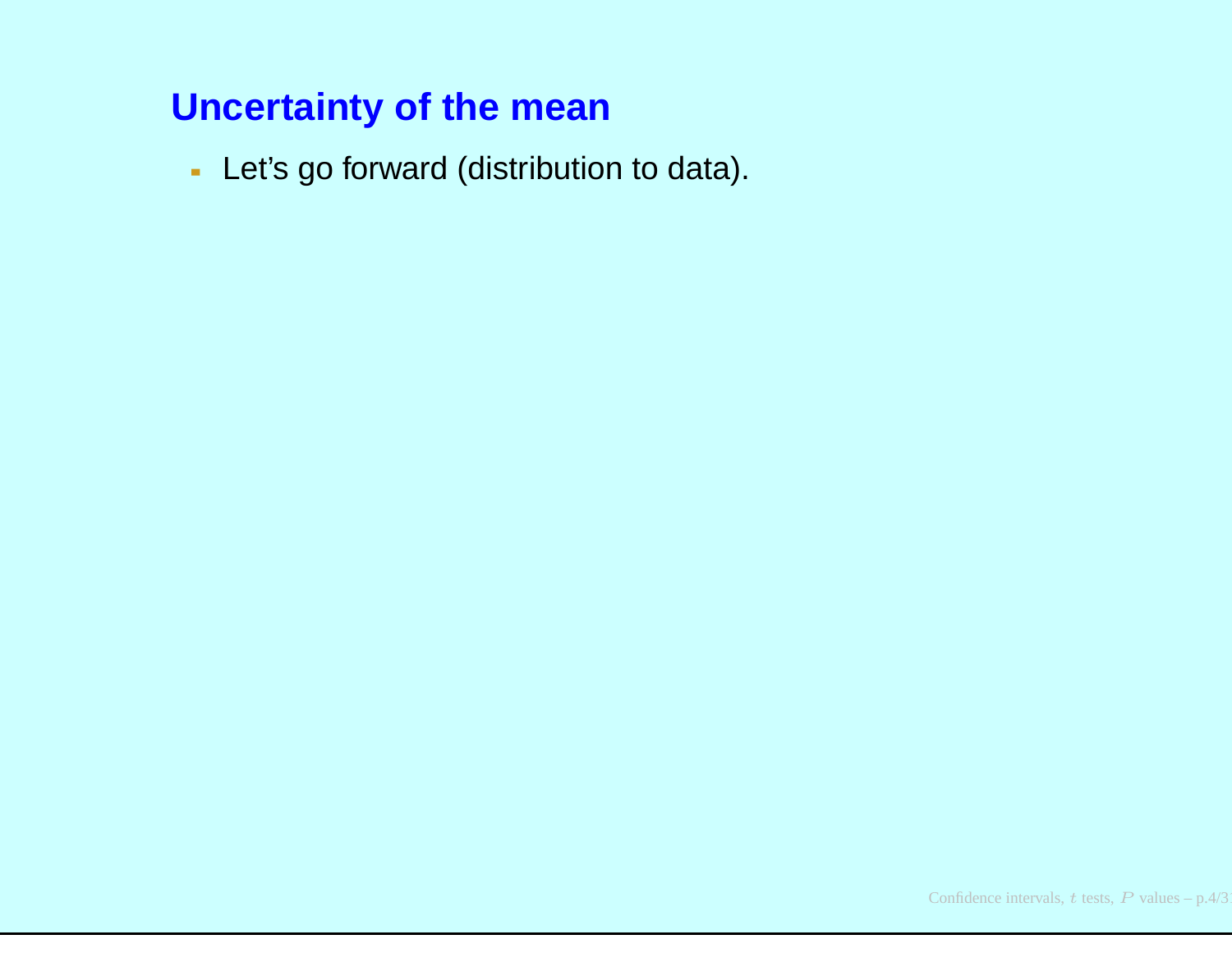- Let's go forward (distribution to data).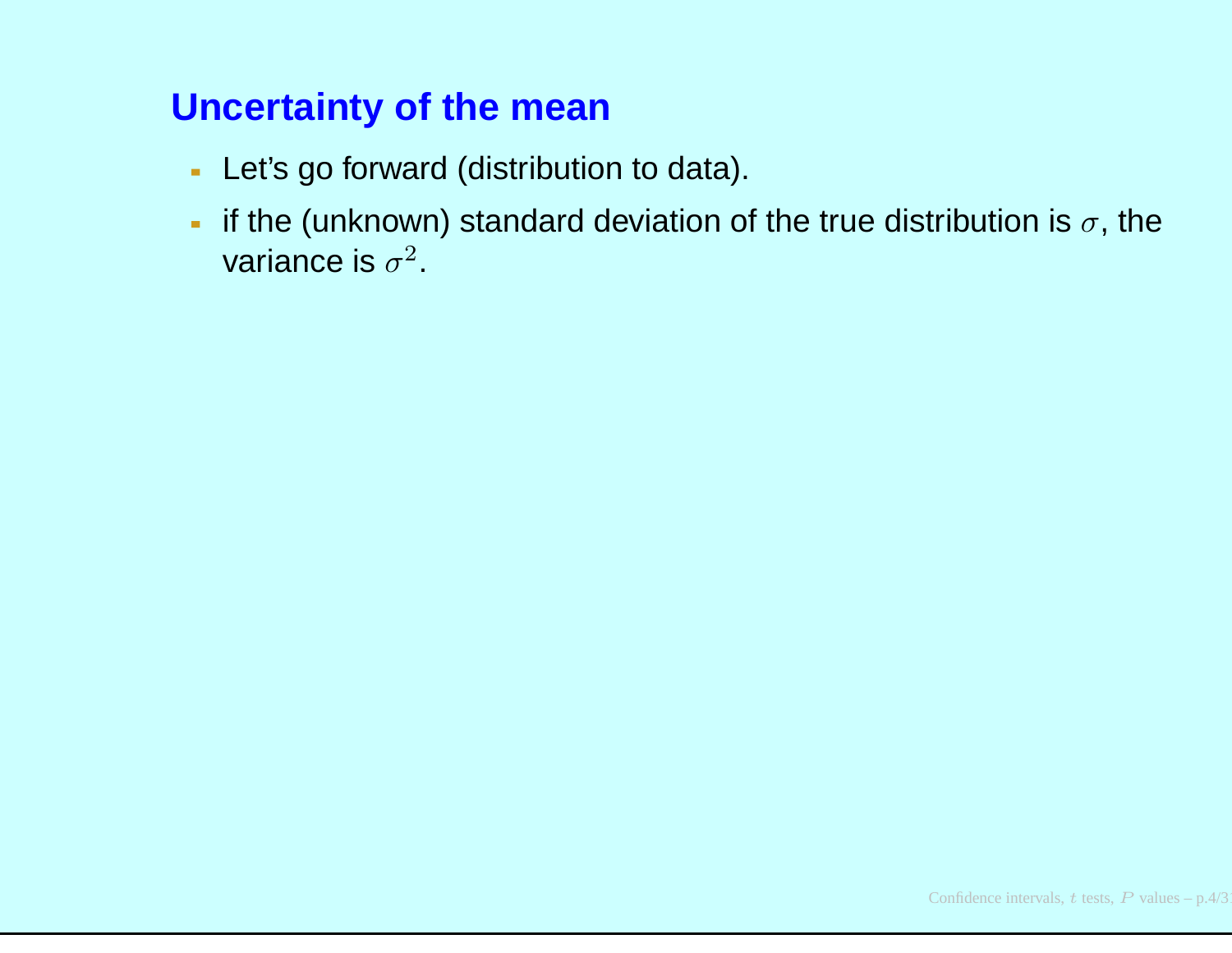- Let's go forward (distribution to data).
- if the (unknown) standard deviation of the true distribution is  $\sigma,$  the variance is  $\sigma^2.$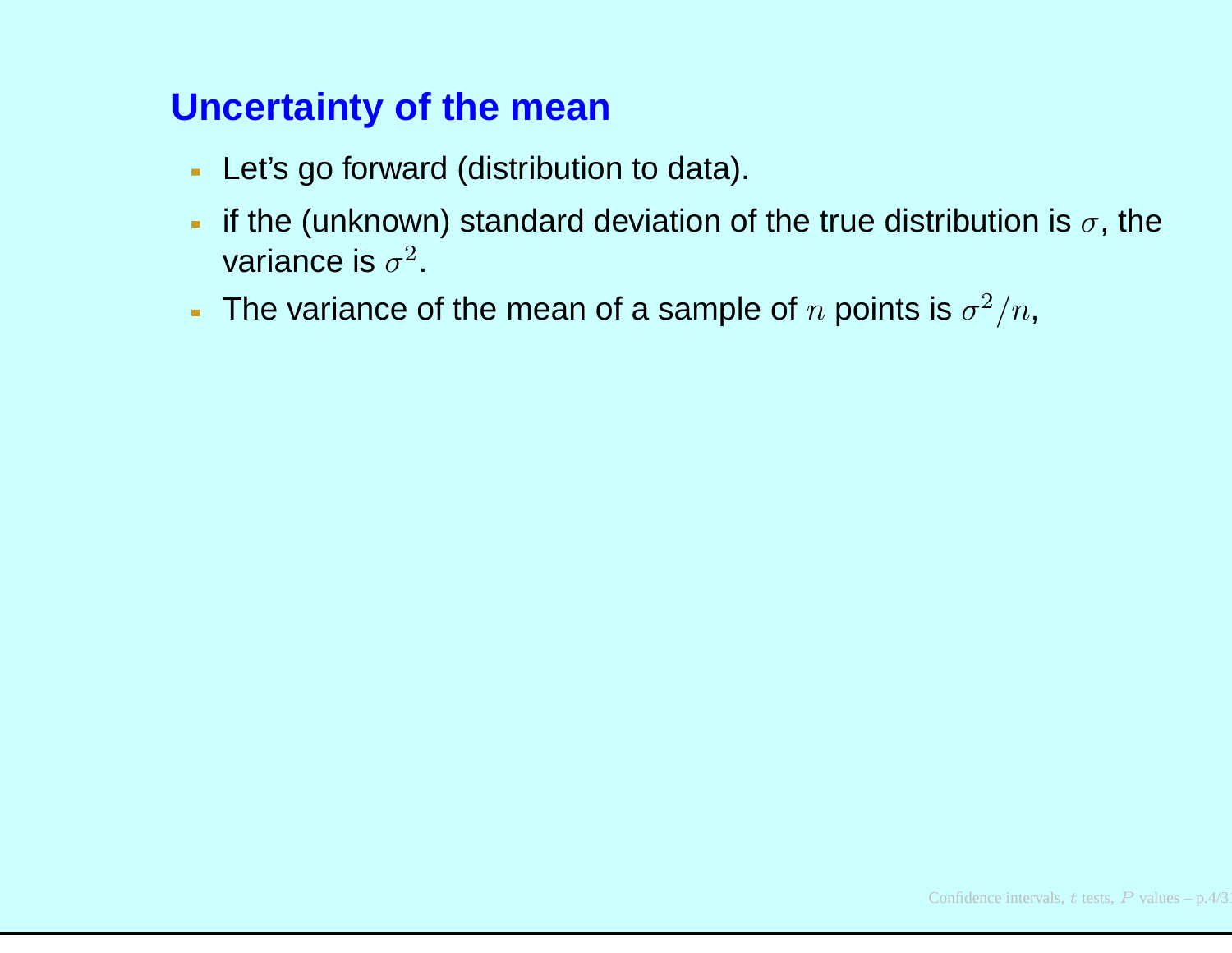- Let's go forward (distribution to data).
- if the (unknown) standard deviation of the true distribution is  $\sigma,$  the  $\mathbf{m}$  . variance is  $\sigma^2.$
- The variance of the mean of a sample of  $n$  points is  $\sigma^2/n$ ,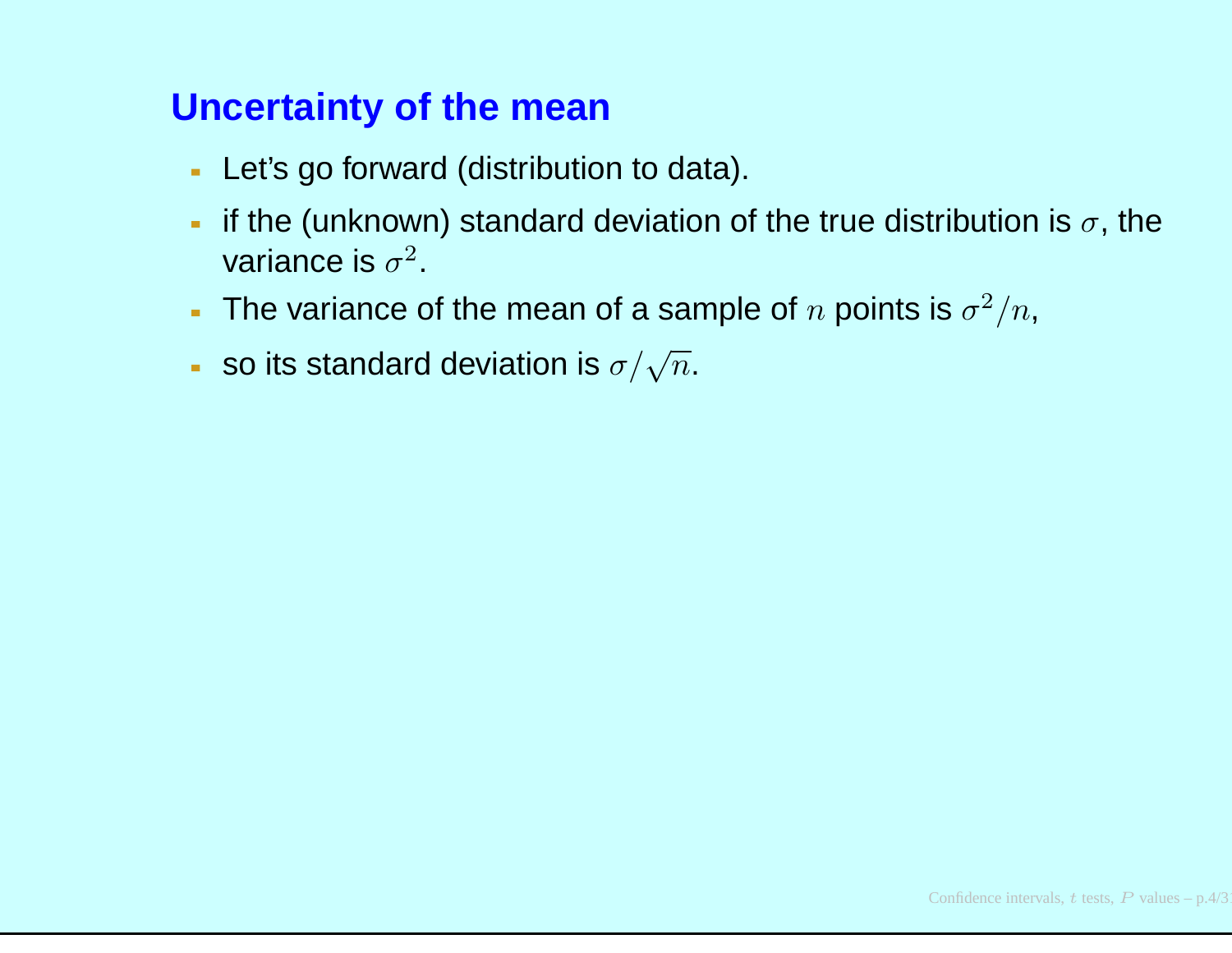- Let's go forward (distribution to data).
- if the (unknown) standard deviation of the true distribution is  $\sigma,$  the  $\mathbf{m}$  . variance is  $\sigma^2.$
- The variance of the mean of a sample of  $n$  points is  $\sigma^2/n$ ,
- so its standard deviation is  $\sigma/\sqrt{n}.$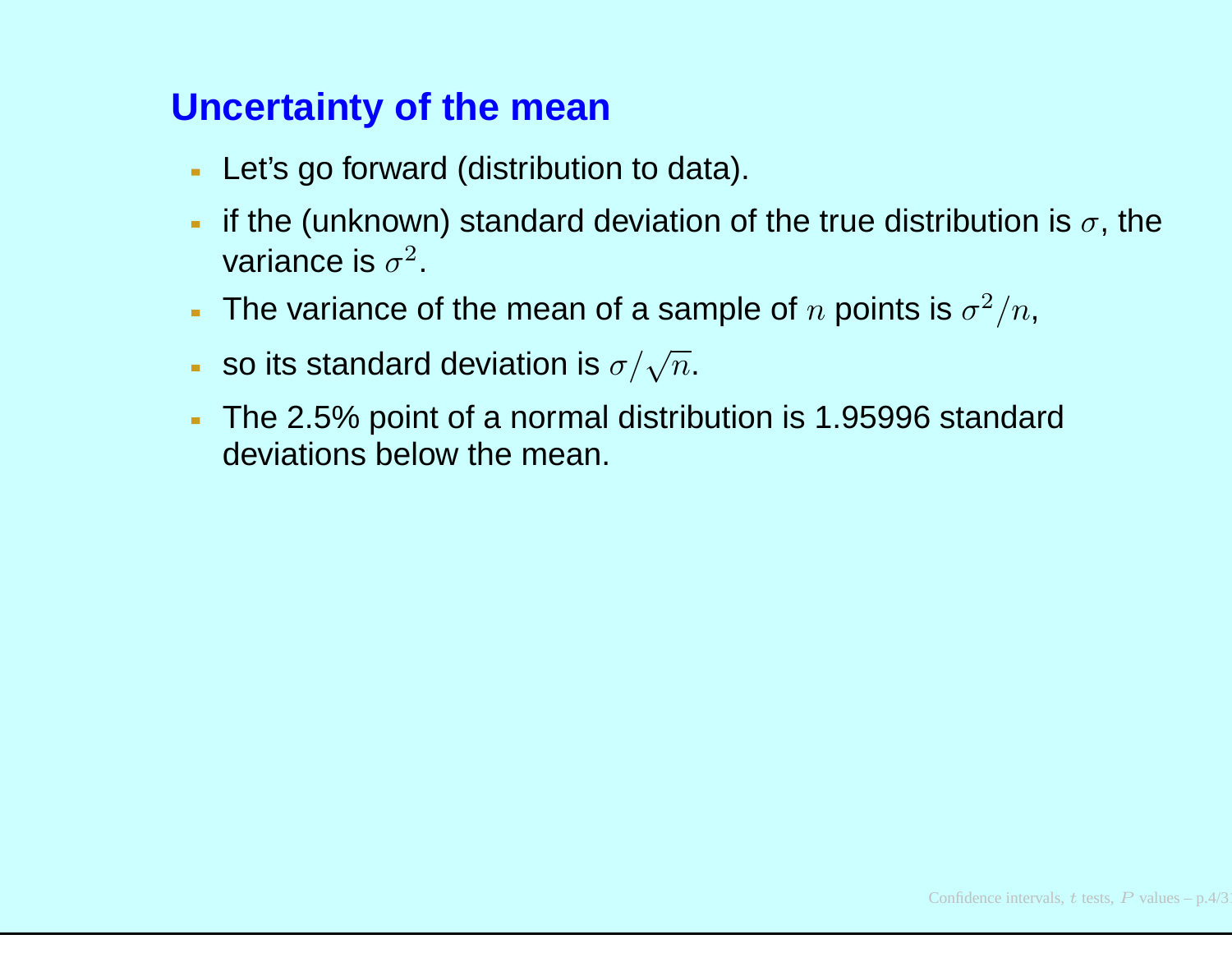- Let's go forward (distribution to data).
- if the (unknown) standard deviation of the true distribution is  $\sigma,$  the variance is  $\sigma^2.$
- The variance of the mean of a sample of  $n$  points is  $\sigma^2/n$ ,
- so its standard deviation is  $\sigma/\sqrt{n}.$
- The 2.5% point of <sup>a</sup> normal distribution is 1.95996 standarddeviations below the mean.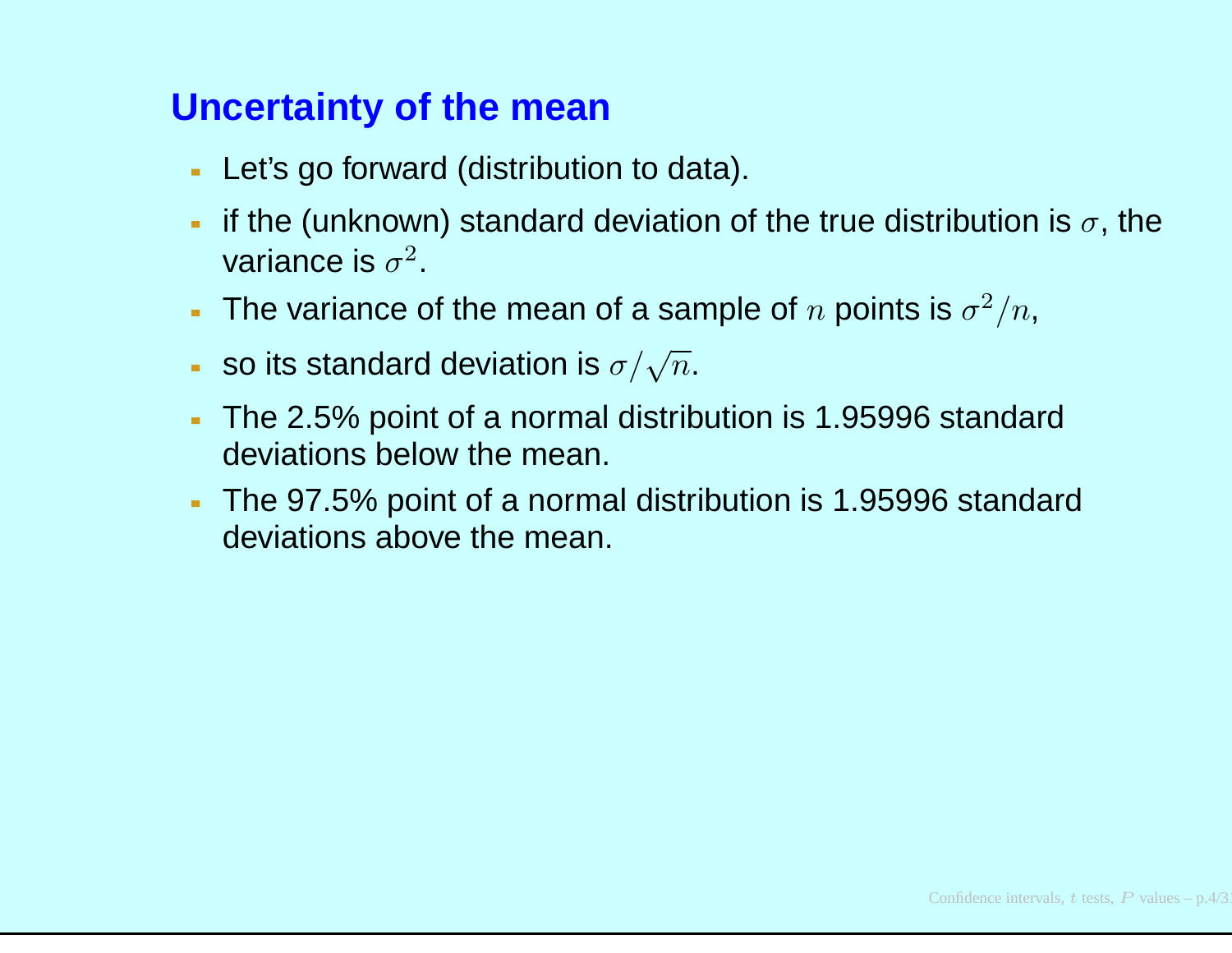- Let's go forward (distribution to data).
- if the (unknown) standard deviation of the true distribution is  $\sigma,$  the variance is  $\sigma^2.$
- The variance of the mean of a sample of  $n$  points is  $\sigma^2/n$ ,
- so its standard deviation is  $\sigma/\sqrt{n}.$
- The 2.5% point of <sup>a</sup> normal distribution is 1.95996 standarddeviations below the mean.
- The 97.5% point of <sup>a</sup> normal distribution is 1.95996 standarddeviations above the mean.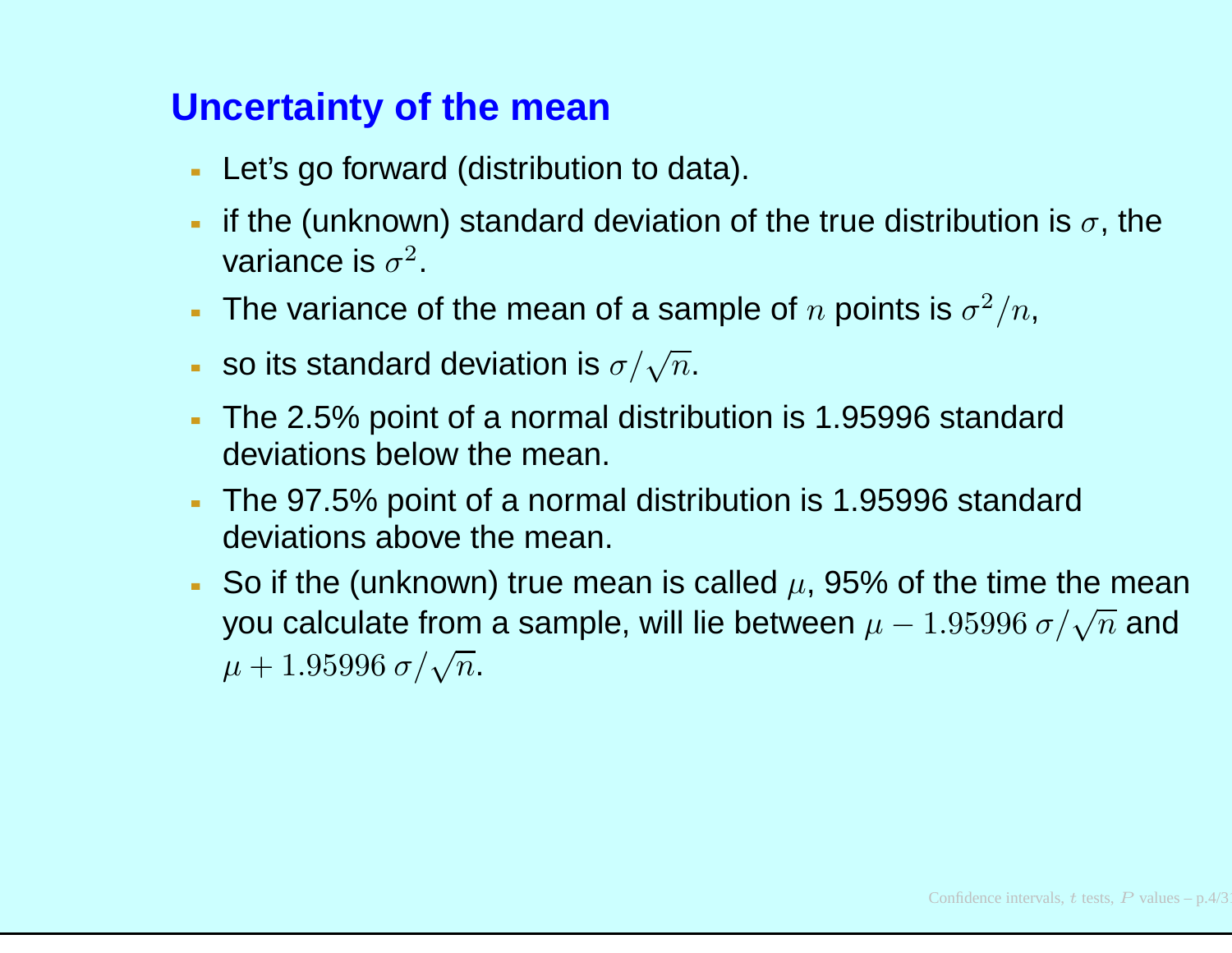- Let's go forward (distribution to data).
- if the (unknown) standard deviation of the true distribution is  $\sigma,$  the variance is  $\sigma^2.$
- The variance of the mean of a sample of  $n$  points is  $\sigma^2/n$ ,
- so its standard deviation is  $\sigma/\sqrt{n}.$
- The 2.5% point of <sup>a</sup> normal distribution is 1.95996 standarddeviations below the mean.
- The 97.5% point of <sup>a</sup> normal distribution is 1.95996 standarddeviations above the mean.
- So if the (unknown) true mean is called  $\mu$ , 95% of the time the mean you calculate from a sample, will lie between  $\mu-1.95996\ \sigma/\sqrt{n}$  and  $\mu + 1.95996 \ \sigma / \sqrt{n}.$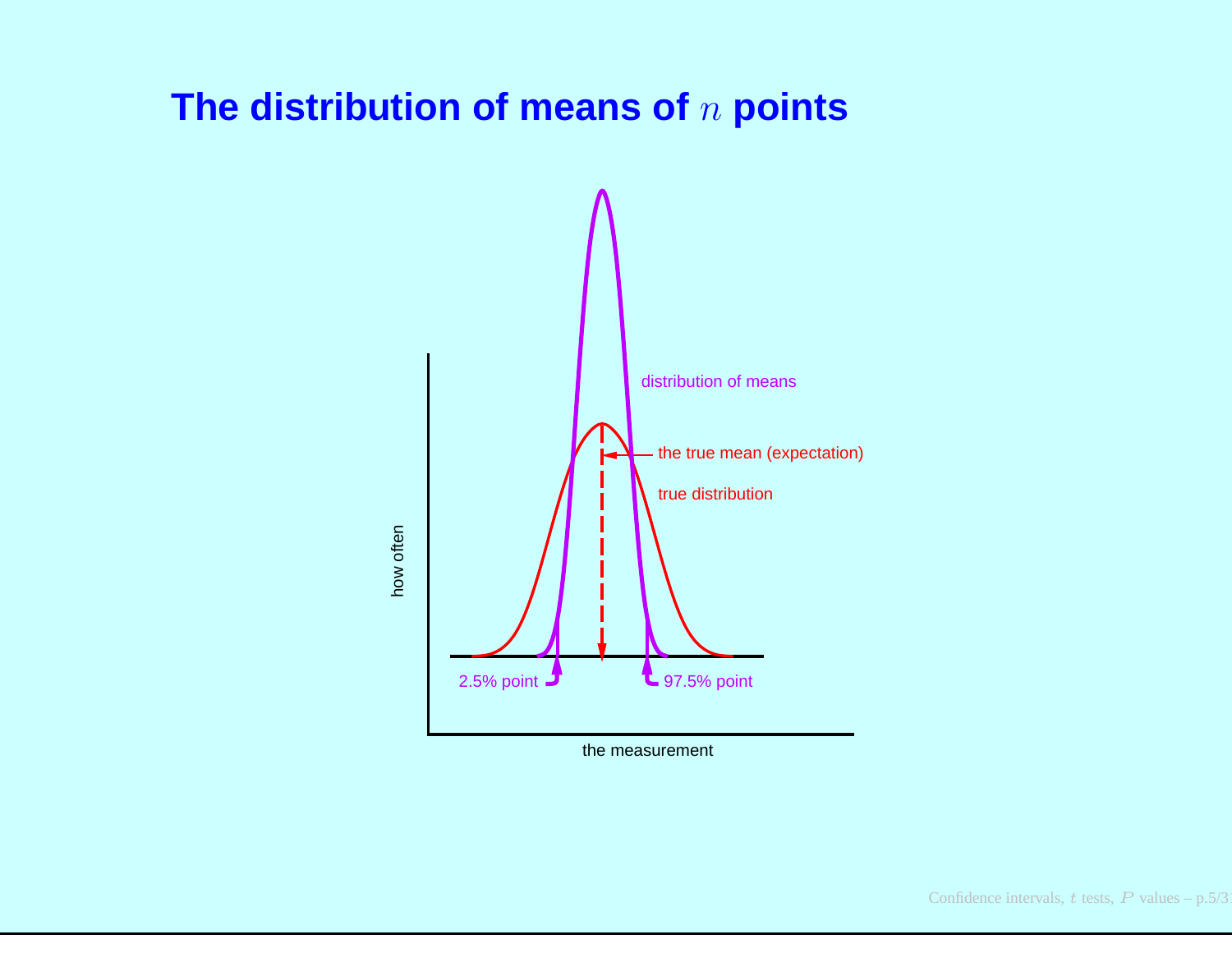# **The distribution of means of**n **points**



the measurement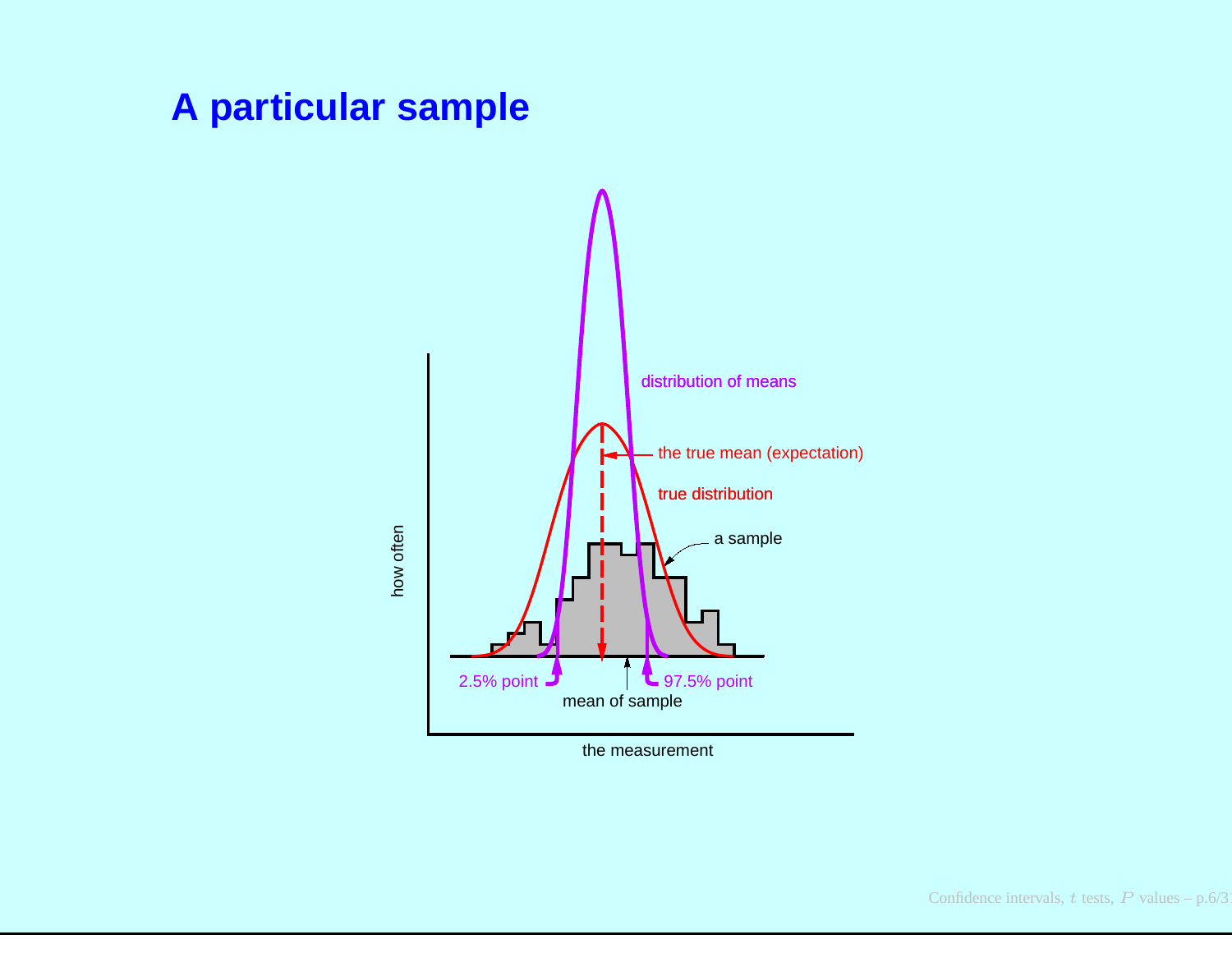#### **A particular sample**



the measurement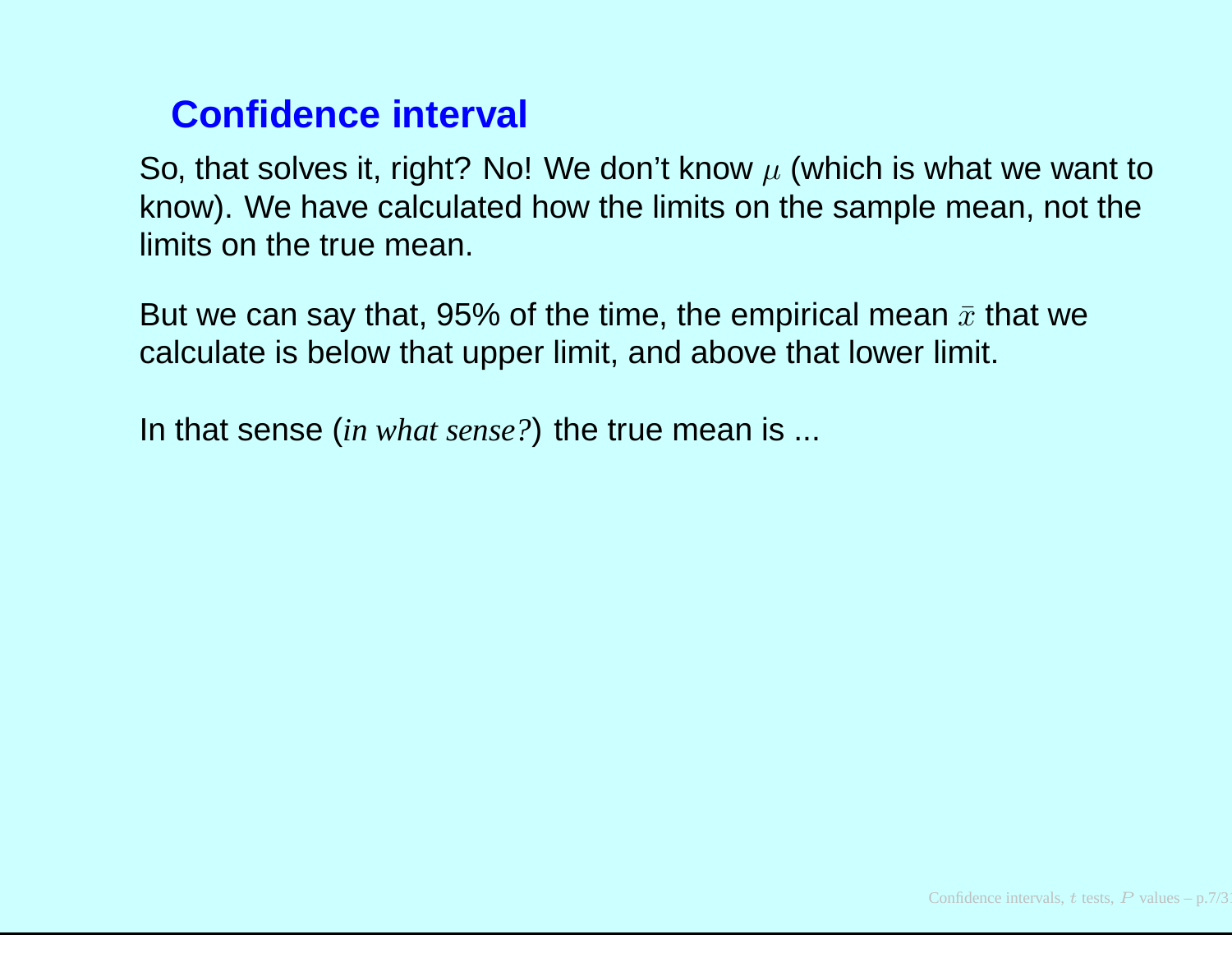#### **Confidence interval**

So, that solves it, right? No! We don't know  $\mu$  (which is what we want to the second of the state of the state of the state of the state of the state of the state of the state of the state of the state of the state of t know). We have calculated how the limits on the sample mean, not thelimits on the true mean.

But we can say that, 95% of the time, the empirical mean  $\bar{x}$  that we calculate is below that upper limit, and above that lower limit.

In that sense *(in what sense?)* the true mean is ...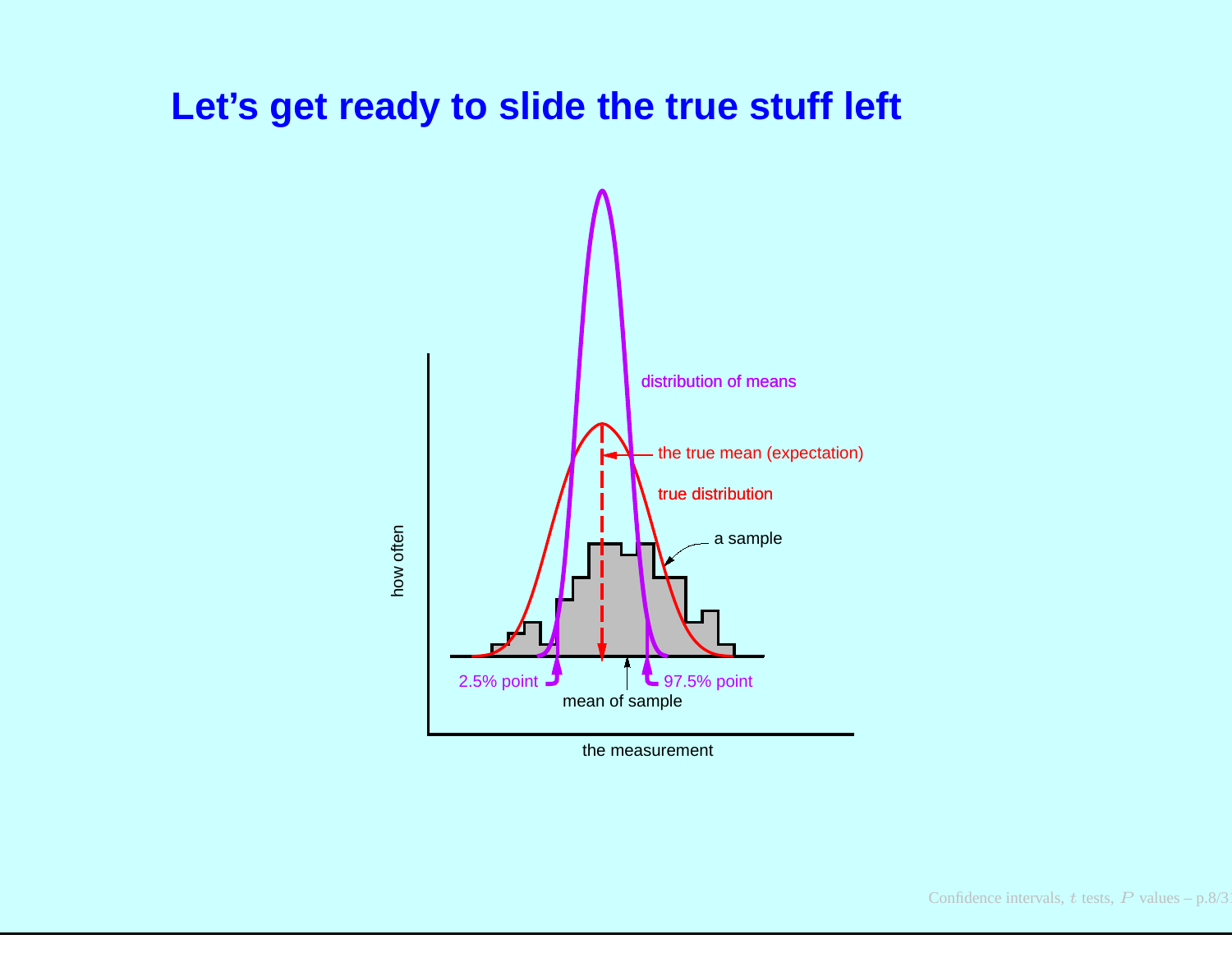#### **Let's get ready to slide the true stuff left**



the measurement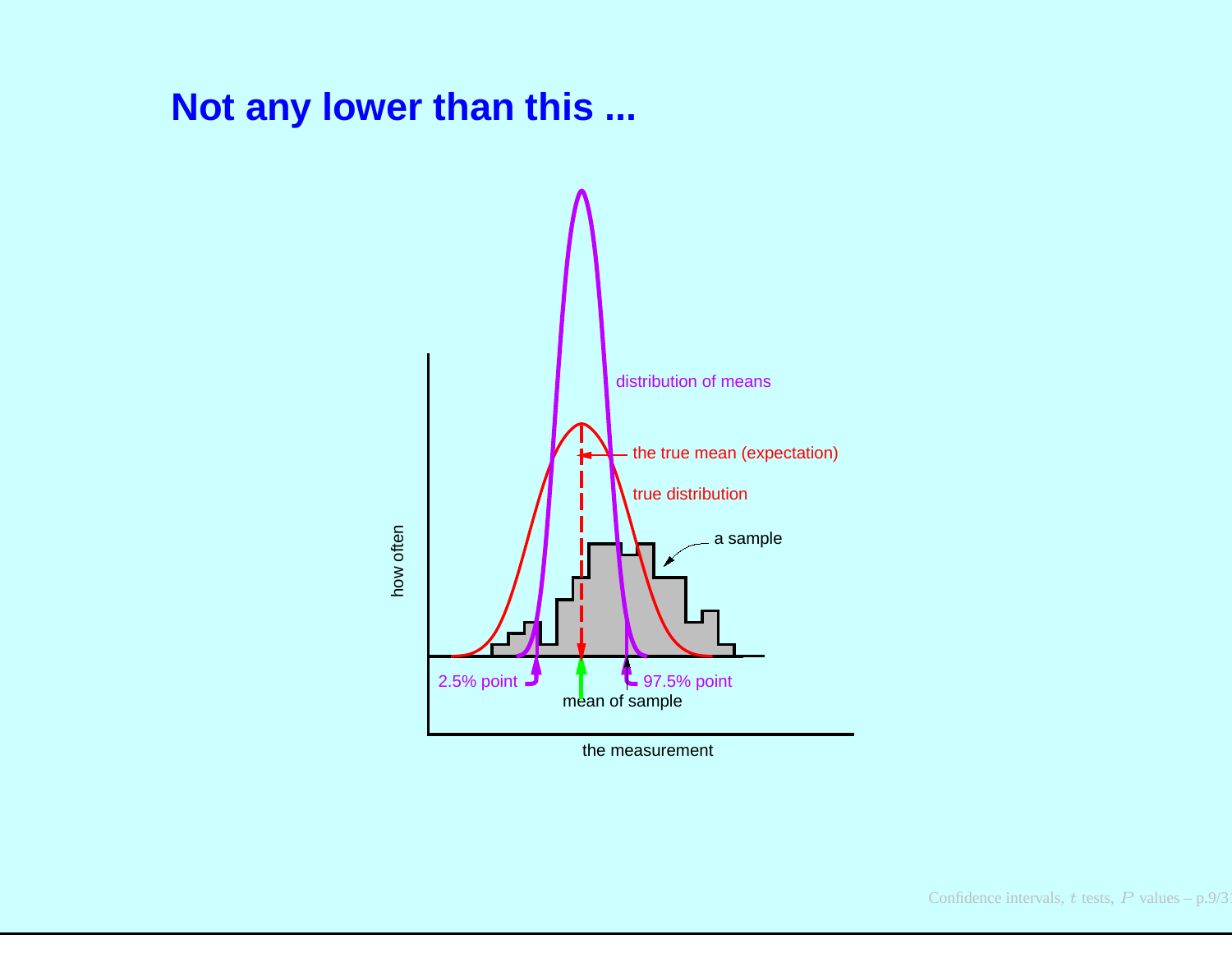#### **Not any lower than this ...**



the measurement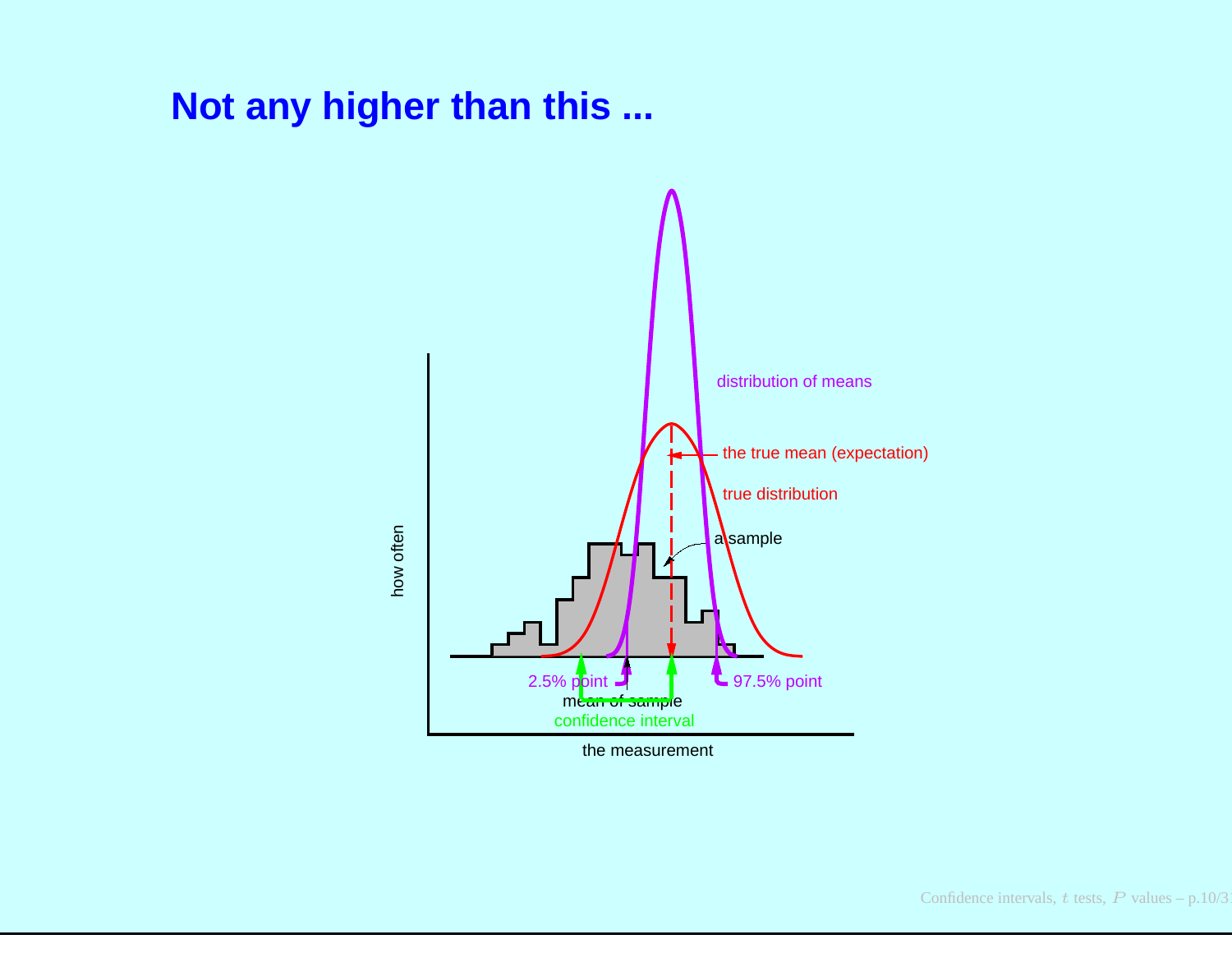#### **Not any higher than this ...**



the measurement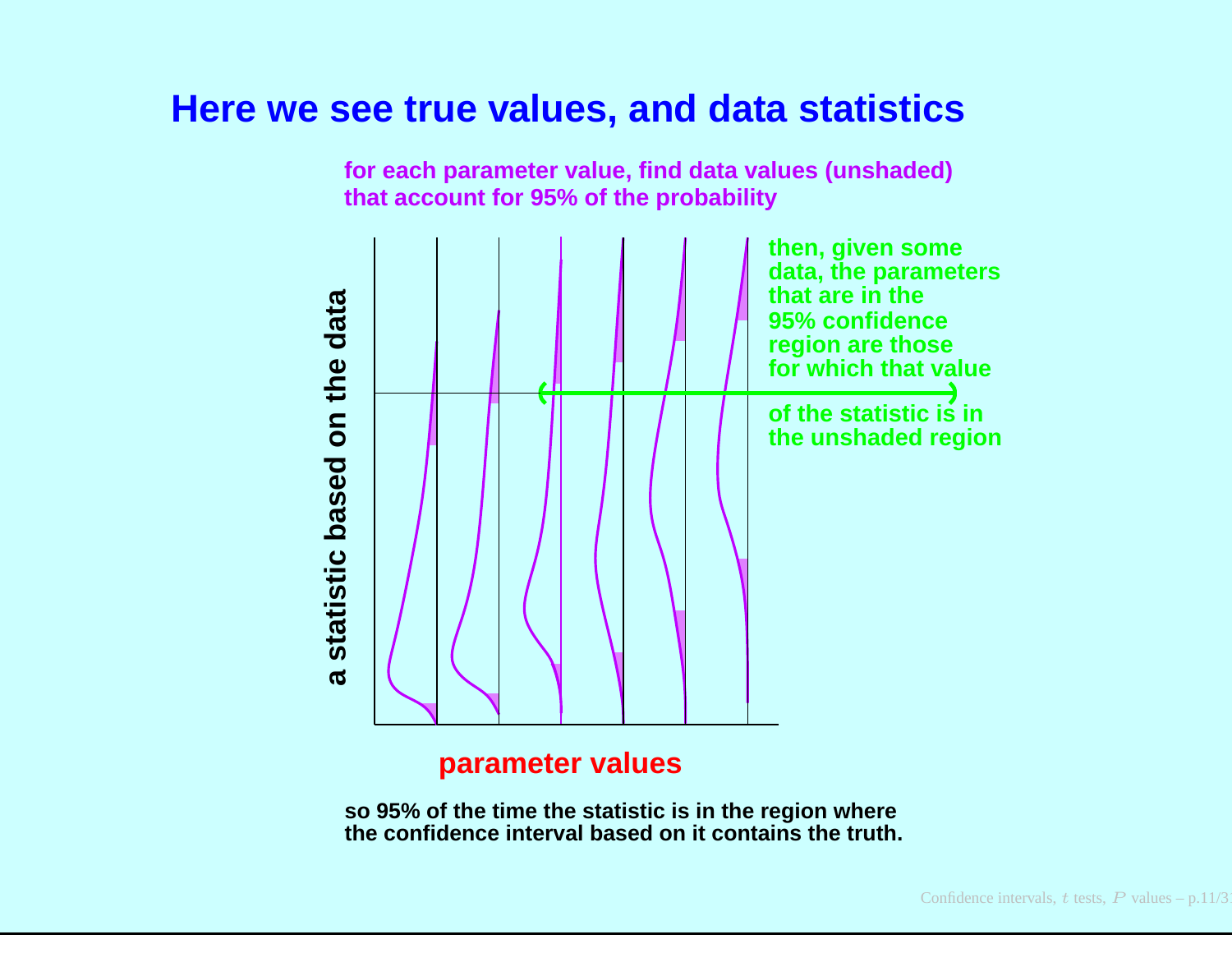#### **Here we see true values, and data statistics**



**for each parameter value, find data values (unshaded)that account for 95% of the probability**

#### **parameter values**

**so 95% of the time the statistic is in the region wherethe confidence interval based on it contains the truth.**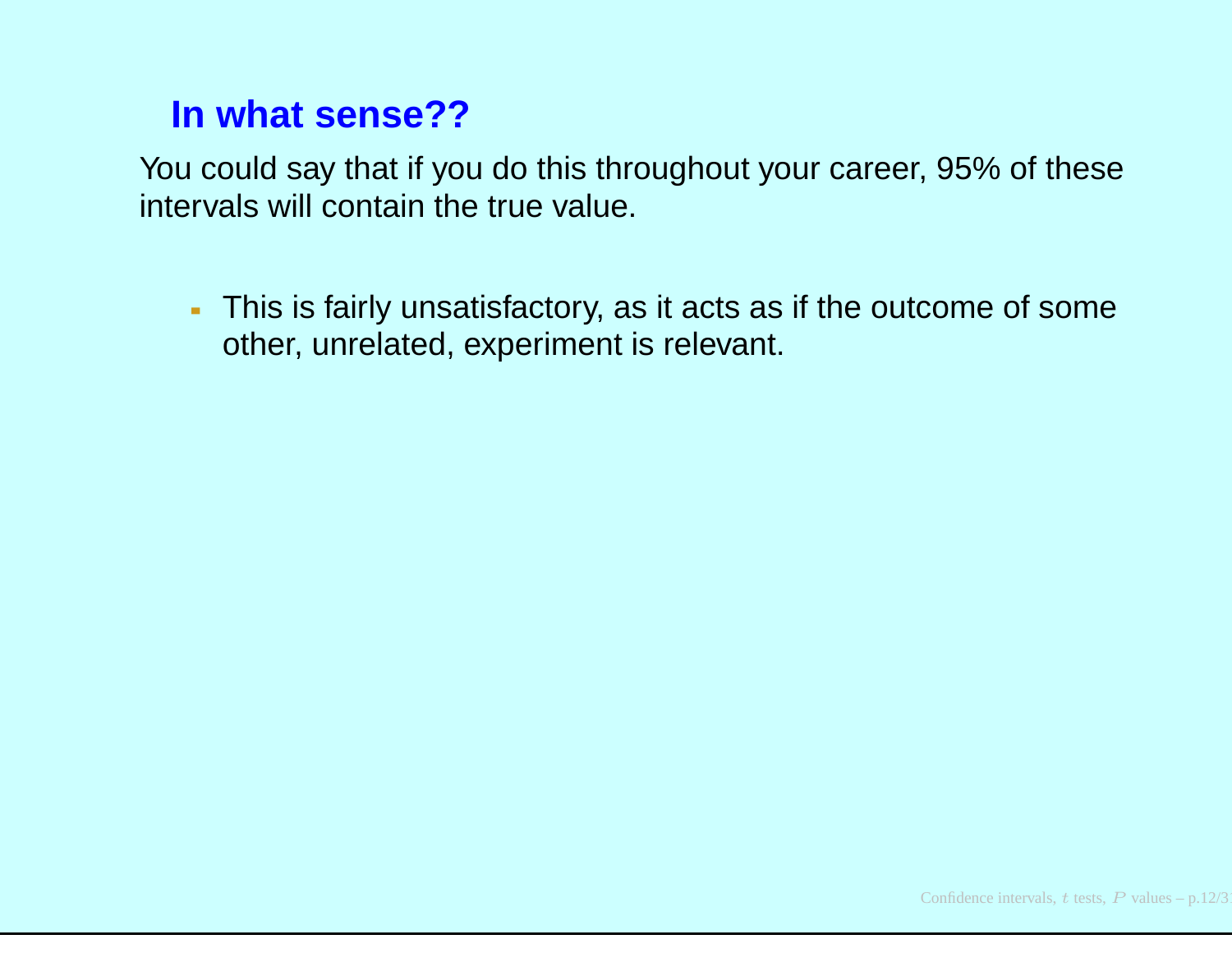# **In what sense??**

You could say that if you do this throughout your career, 95% of theseintervals will contain the true value.

This is fairly unsatisfactory, as it acts as if the outcome of someother, unrelated, experiment is relevant.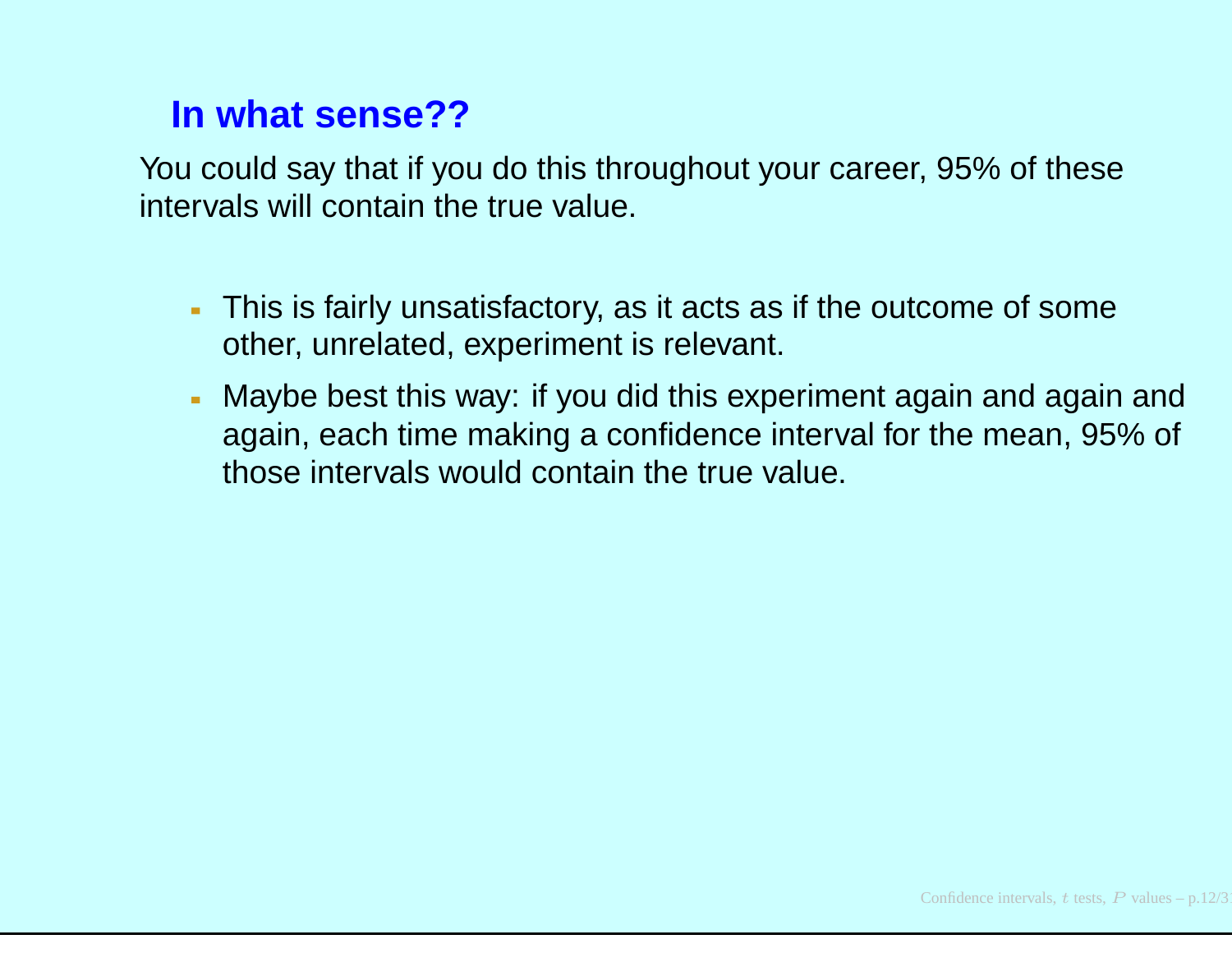# **In what sense??**

You could say that if you do this throughout your career, 95% of theseintervals will contain the true value.

- This is fairly unsatisfactory, as it acts as if the outcome of someother, unrelated, experiment is relevant.
- Maybe best this way: if you did this experiment again and again and again, each time making <sup>a</sup> confidence interval for the mean, 95% of those intervals would contain the true value.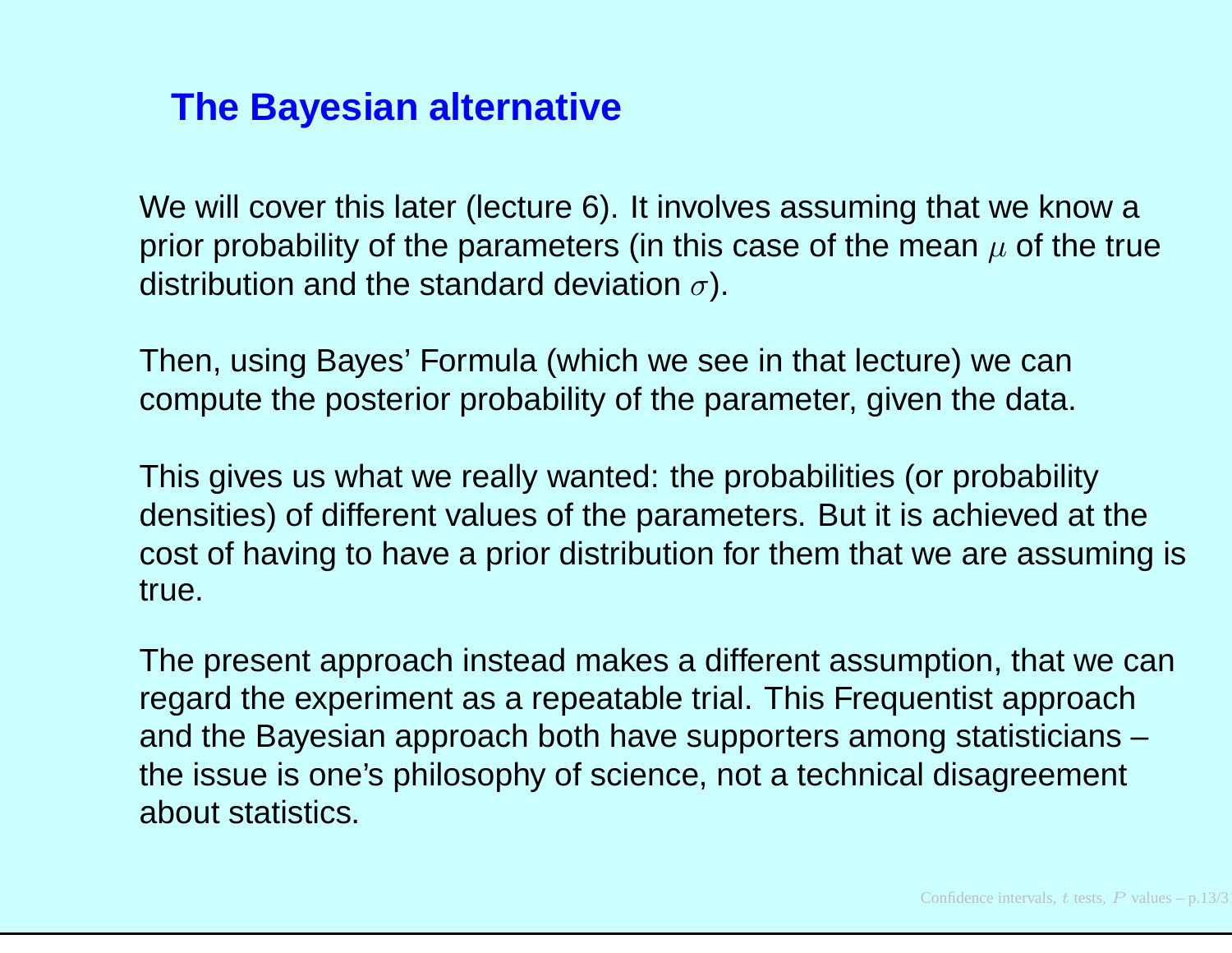### **The Bayesian alternative**

We will cover this later (lecture 6). It involves assuming that we know <sup>a</sup>prior probability of the parameters (in this case of the mean  $\mu$  of the true distribution and the standard deviation  $\sigma$ ).

Then, using Bayes' Formula (which we see in that lecture) we cancompute the posterior probability of the parameter, given the data.

This gives us what we really wanted: the probabilities (or probability densities) of different values of the parameters. But it is achieved at the cost of having to have <sup>a</sup> prior distribution for them that we are assuming istrue.

The present approach instead makes <sup>a</sup> different assumption, that we canregard the experiment as <sup>a</sup> repeatable trial. This Frequentist approach and the Bayesian approach both have supporters among statisticians – the issue is one's philosophy of science, not <sup>a</sup> technical disagreement about statistics.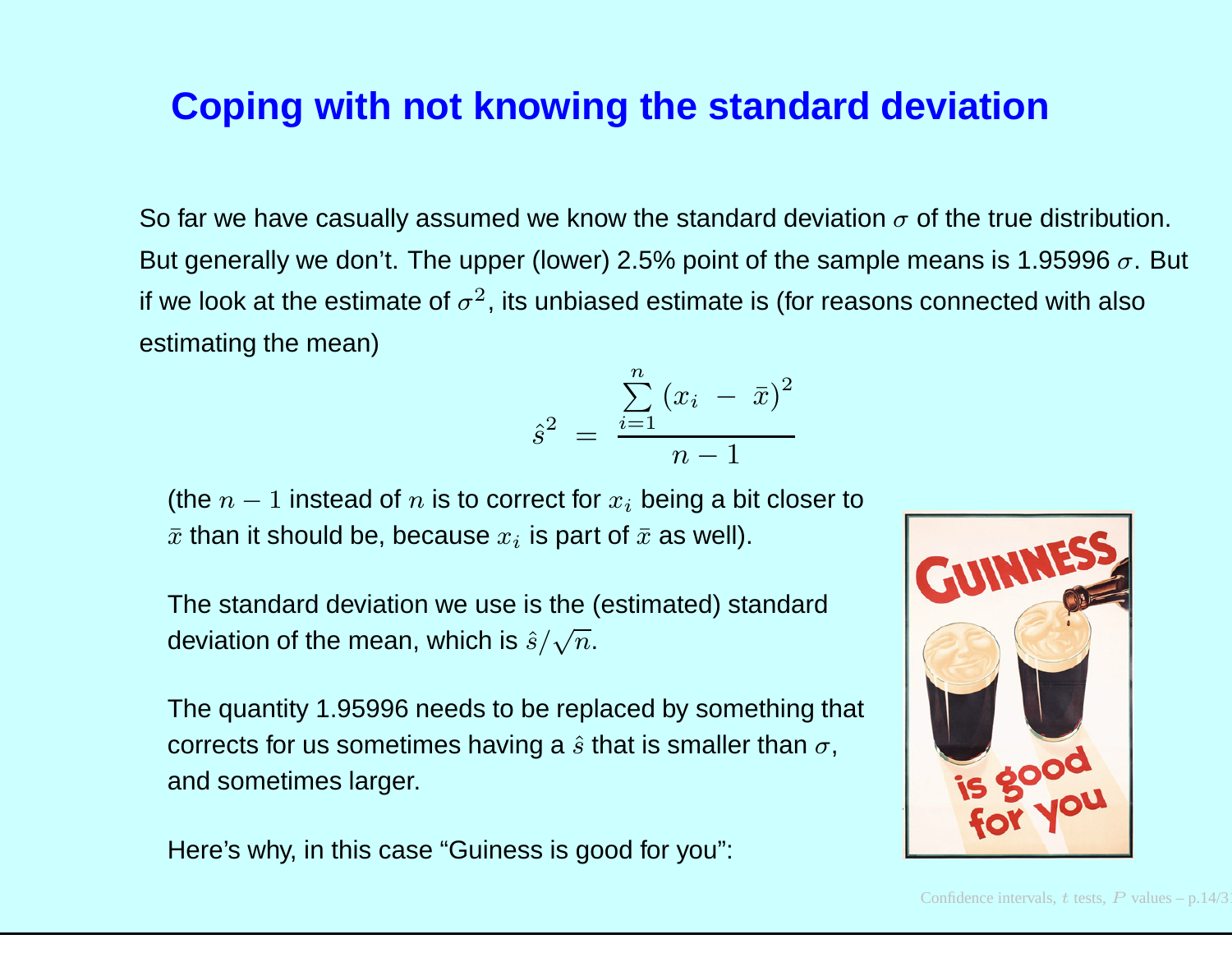#### **Coping with not knowing the standard deviation**

So far we have casually assumed we know the standard deviation  $\sigma$  of the true distribution. But generally we don't. The upper (lower) 2.5% point of the sample means is 1.95996  $\sigma.$  But if we look at the estimate of  $\sigma^2$ , its unbiased estimate is (for reasons connected with also estimating the mean)

$$
\hat{s}^2 = \frac{\sum_{i=1}^n (x_i - \bar{x})^2}{n-1}
$$

(the  $n-1$  instead of  $n$  is to correct for  $x_i$  being a bit closer to  $\bar{x}$  than it should be, because  $x_i$  is part of  $\bar{x}$  as well).

The standard deviation we use is the (estimated) standarddeviation of the mean, which is  $\hat{s}/\sqrt{n}.$ 

The quantity 1.95996 needs to be replaced by something that corrects for us sometimes having a  $\hat{s}$  that is smaller than  $\sigma,$ and sometimes larger.

Here's why, in this case "Guiness is good for you":

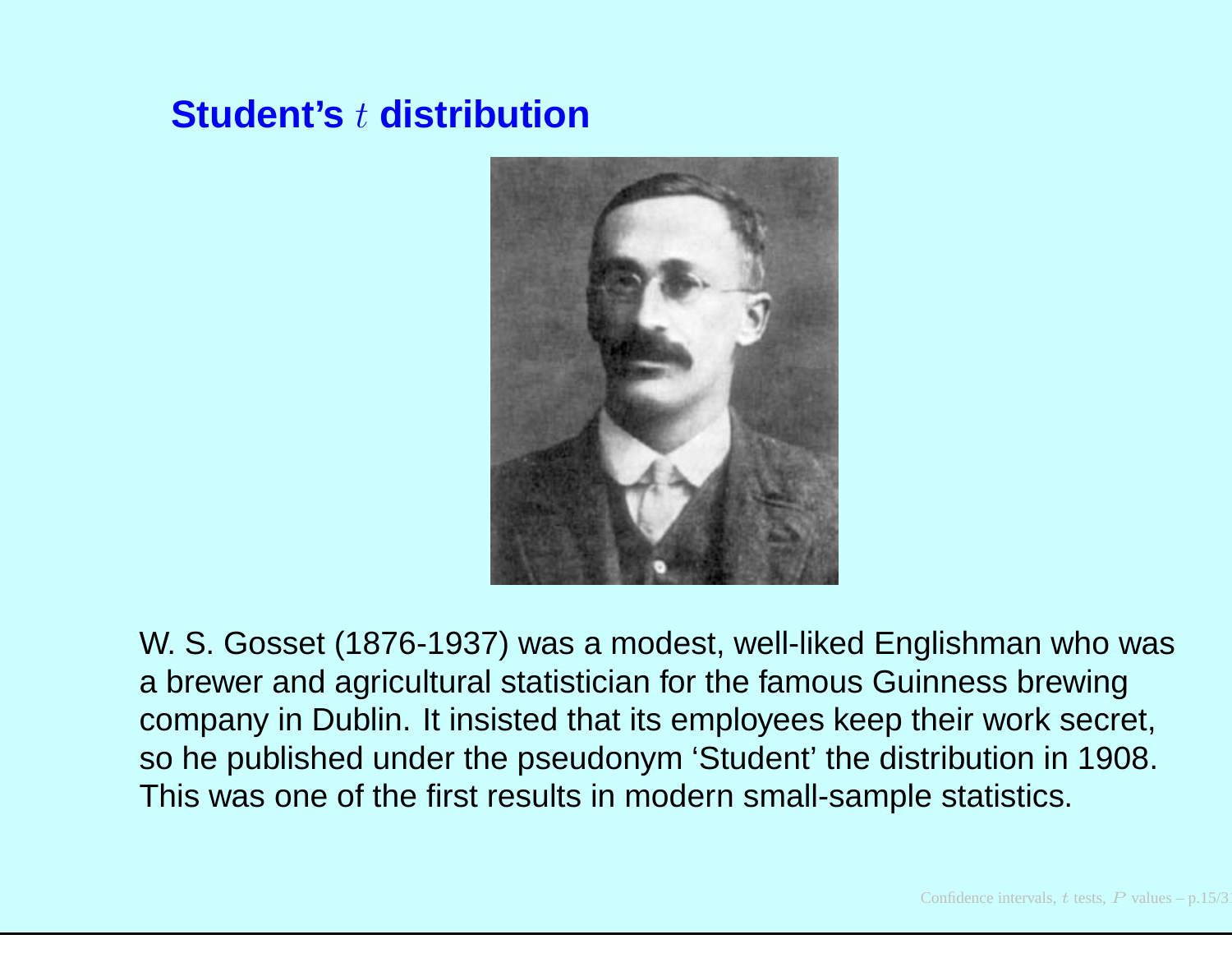# **Student's** <sup>t</sup> **distribution**



W. S. Gosset (1876-1937) was <sup>a</sup> modest, well-liked Englishman who was<sup>a</sup> brewer and agricultural statistician for the famous Guinness brewing company in Dublin. It insisted that its employees keep their work secret, so he published under the pseudonym 'Student' the distribution in 1908. This was one of the first results in modern small-sample statistics.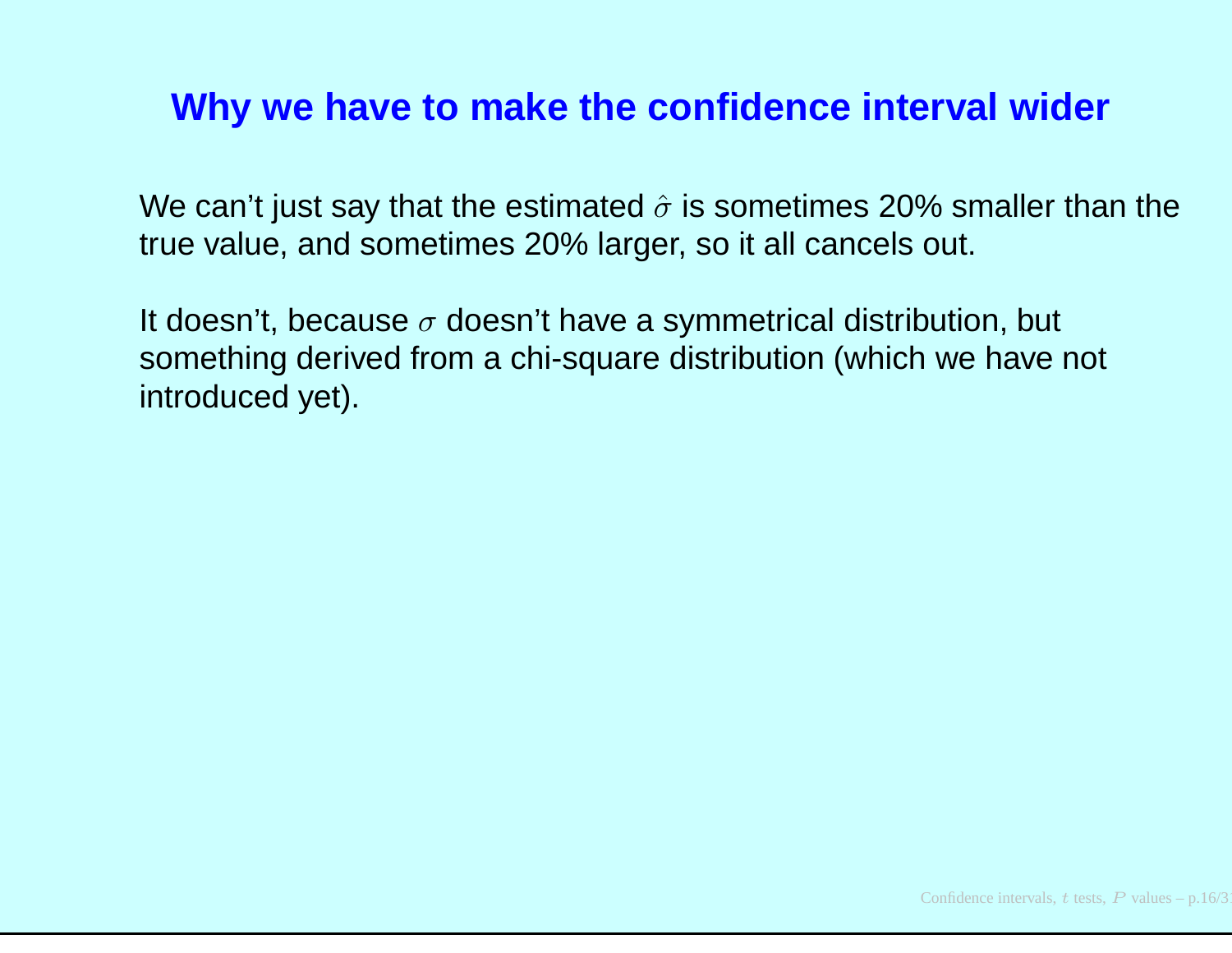#### **Why we have to make the confidence interval wider**

We can't just say that the estimated  $\hat{\sigma}$  is sometimes 20% smaller than the true value, and sometimes 20% larger, so it all cancels out.

It doesn't, because  $\sigma$  doesn't have a symmetrical distribution, but something derived from <sup>a</sup> chi-square distribution (which we have not introduced yet).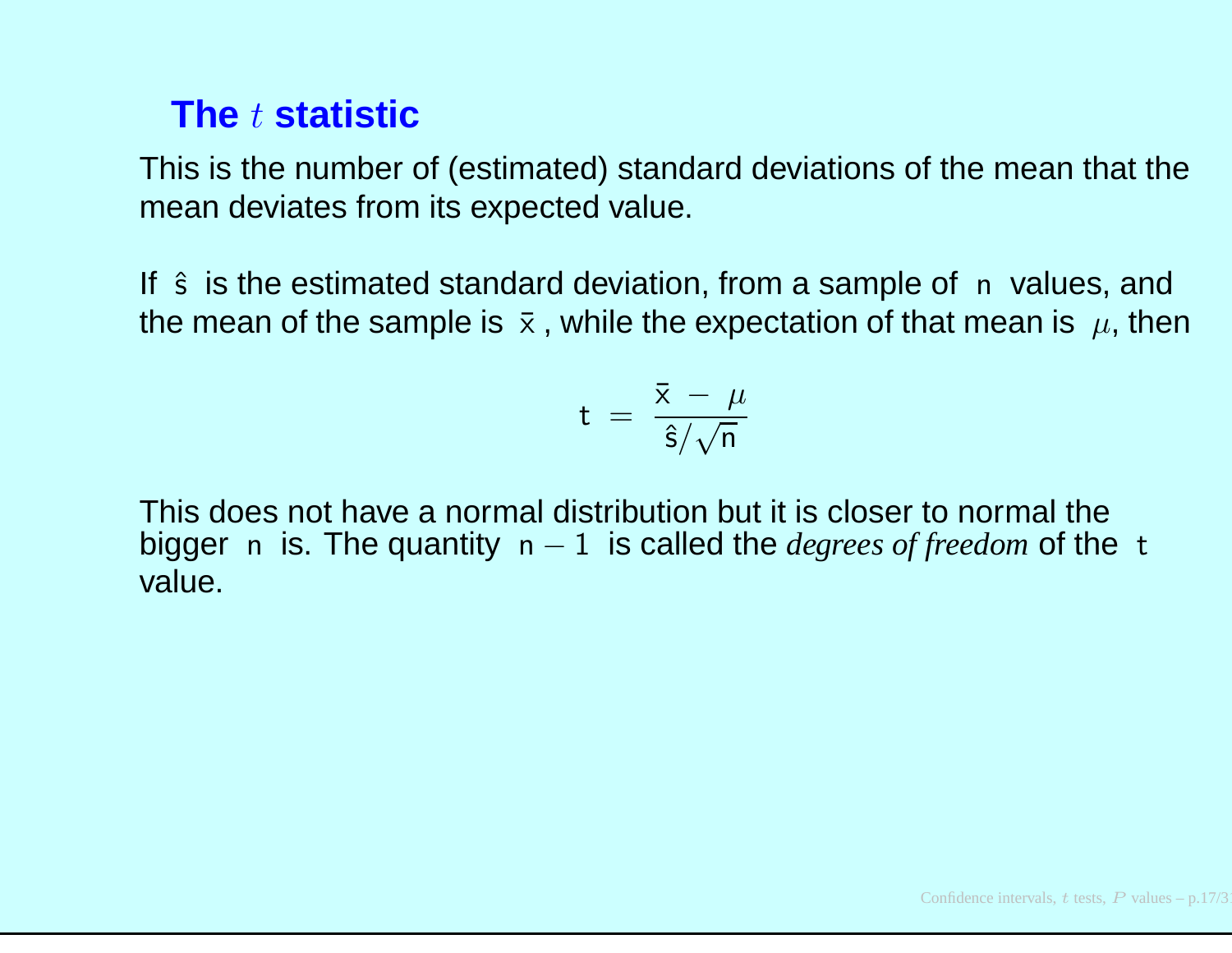# **The** <sup>t</sup> **statistic**

This is the number of (estimated) standard deviations of the mean that the mean deviates from its expected value.

If  $\hat{s}$  is the estimated standard deviation, from a sample of n values, and the mean of the sample is  $~\bar{\mathrm{x}}$  , while the expectation of that mean is  $~\mu$ , then

$$
\rm t~=~\frac{\bar{x}~-~\mu}{\hat{s}/\sqrt{n}}
$$

This does not have <sup>a</sup> normal distribution but it is closer to normal the bigger <sup>n</sup> is. The quantity <sup>n</sup> <sup>−</sup> <sup>1</sup> is called the *degrees of freedom* of the <sup>t</sup> value.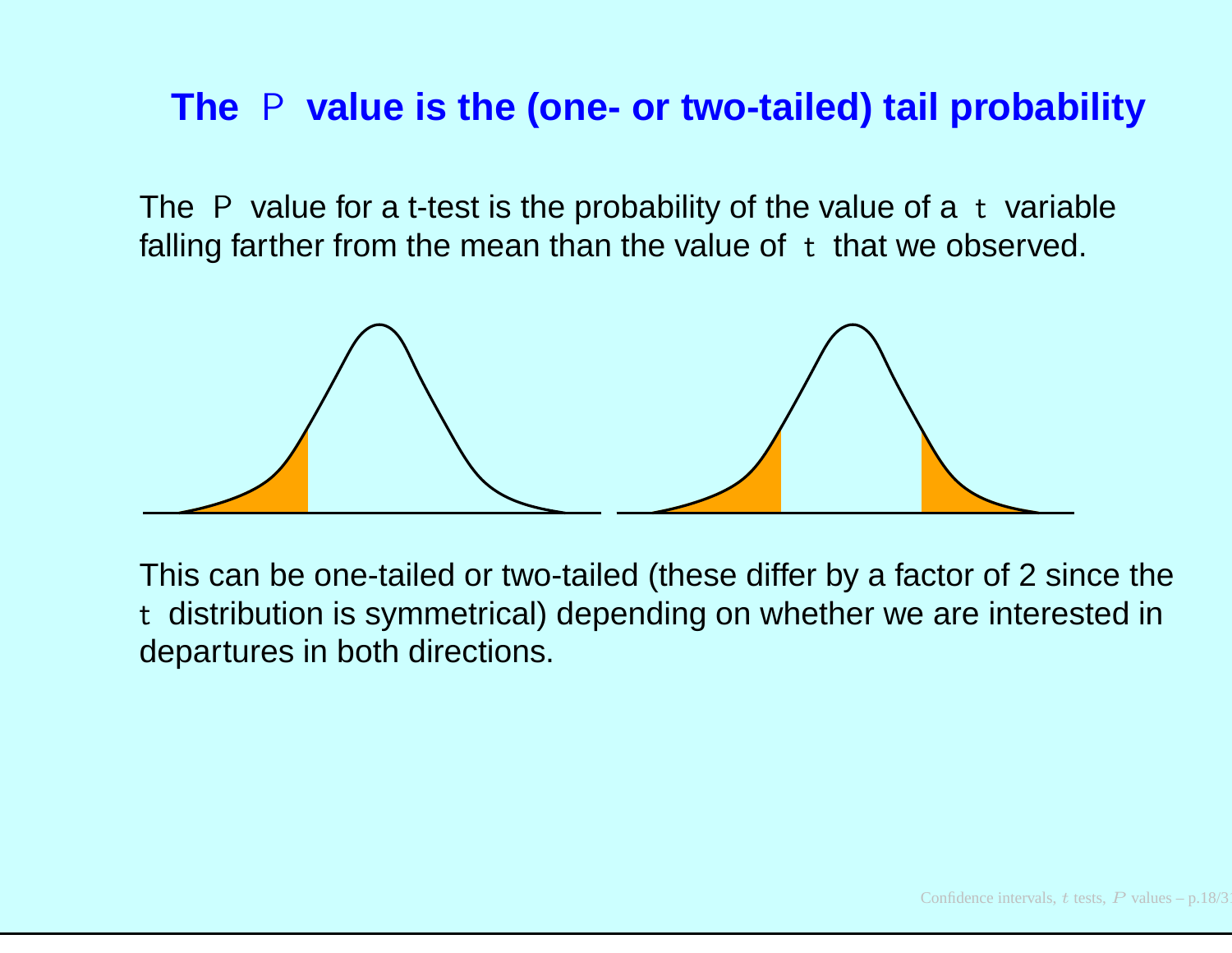# **The** <sup>P</sup> **value is the (one- or two-tailed) tail probability**

The P value for a t-test is the probability of the value of a t variable falling farther from the mean than the value of <sup>t</sup> that we observed.



This can be one-tailed or two-tailed (these differ by <sup>a</sup> factor of <sup>2</sup> since the t distribution is symmetrical) depending on whether we are interested indepartures in both directions.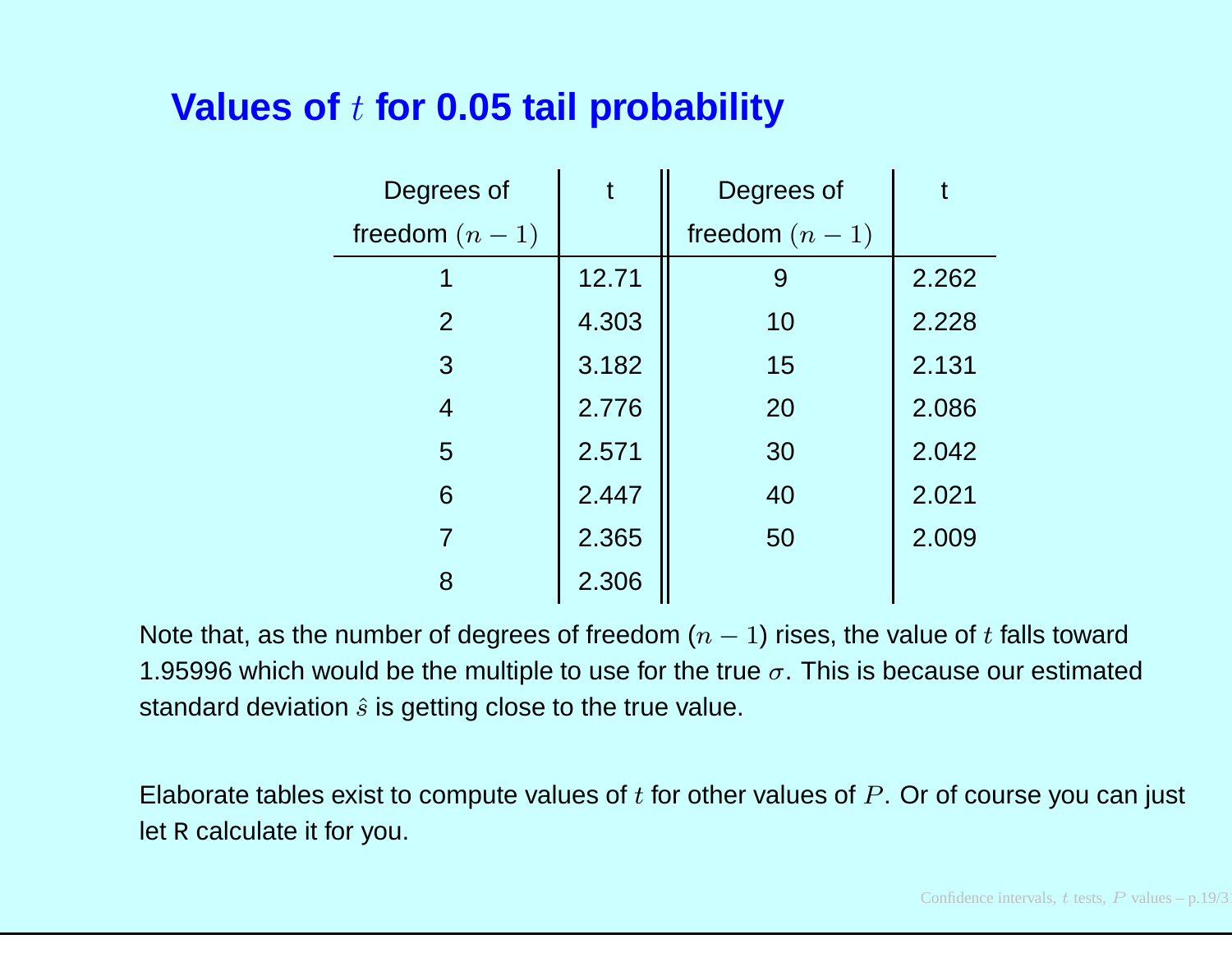# **Values of** t **for 0.05 tail probability**

| Degrees of      |       | Degrees of      |       |
|-----------------|-------|-----------------|-------|
| freedom $(n-1)$ |       | freedom $(n-1)$ |       |
| 1               | 12.71 | 9               | 2.262 |
| 2               | 4.303 | 10              | 2.228 |
| 3               | 3.182 | 15              | 2.131 |
| $\overline{4}$  | 2.776 | 20              | 2.086 |
| 5               | 2.571 | 30              | 2.042 |
| 6               | 2.447 | 40              | 2.021 |
| $\overline{7}$  | 2.365 | 50              | 2.009 |
| 8               | 2.306 |                 |       |

Note that, as the number of degrees of freedom  $(n-1)$  rises, the value of  $t$  falls toward 1.95996 which would be the multiple to use for the true  $\sigma.$  This is because our estimated standard deviation  $\hat{s}$  is getting close to the true value.

Elaborate tables exist to compute values of  $t$  for other values of  $P.$  Or of course you can just let  $\mathbb R$  calculate it for you.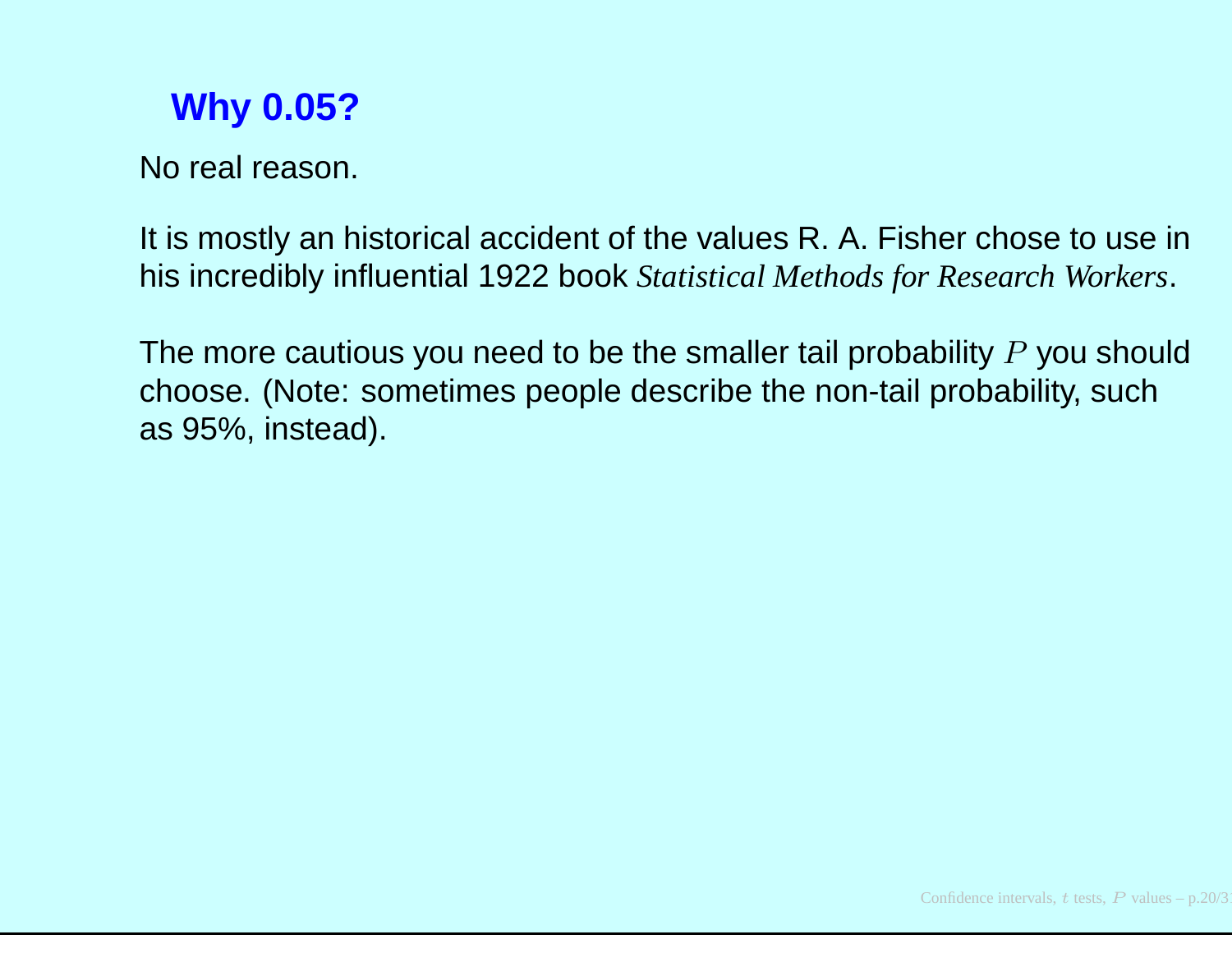# **Why 0.05?**

No real reason.

It is mostly an historical accident of the values R. A. Fisher chose to use inhis incredibly influential 1922 book *Statistical Methods for Research Workers*.

The more cautious you need to be the smaller tail probability  $P$  you should choose. (Note: sometimes people describe the non-tail probability, suchas 95%, instead).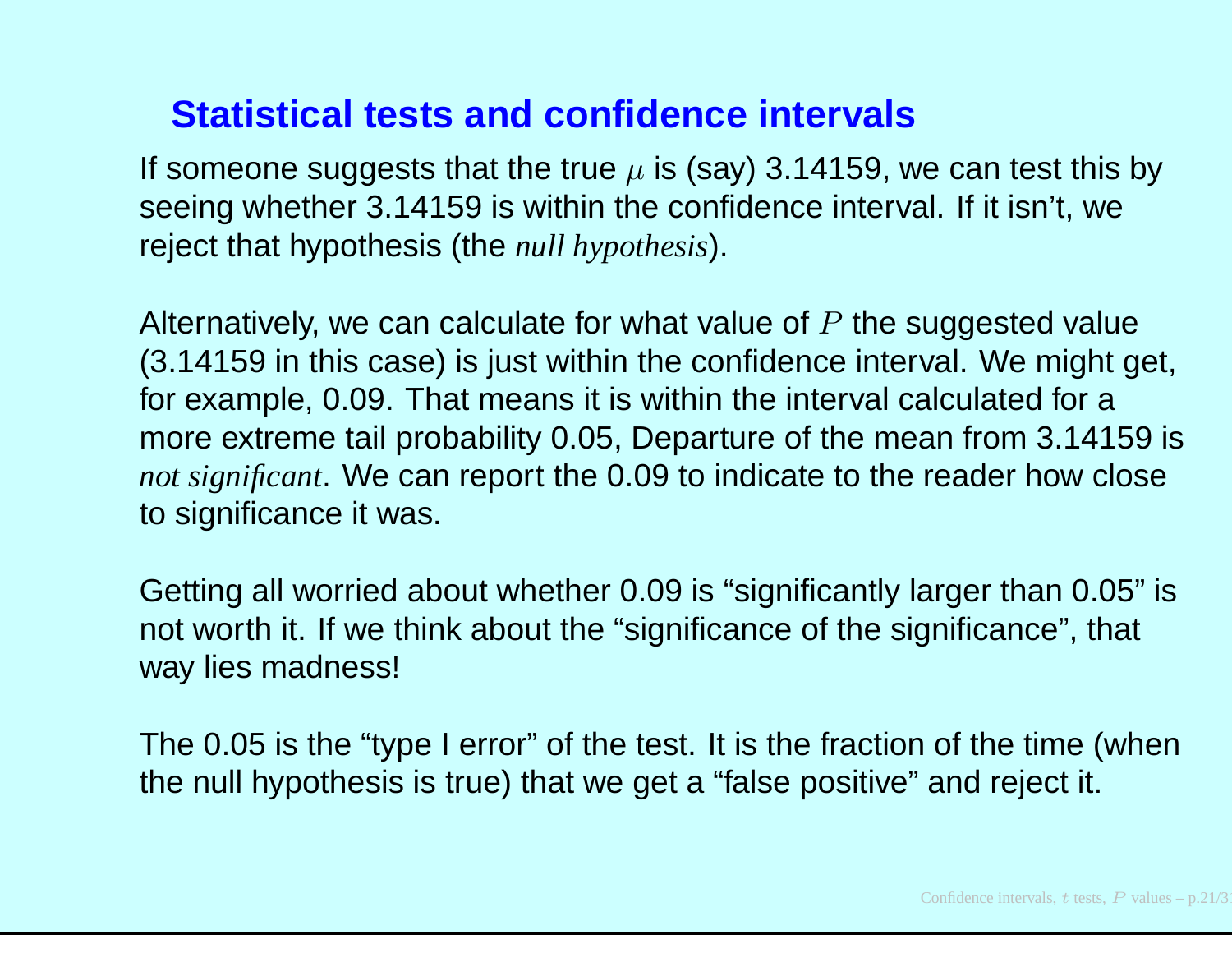#### **Statistical tests and confidence intervals**

If someone suggests that the true  $\mu$  is (say) 3.14159, we can test this by seeing whether 3.14159 is within the confidence interval. If it isn't, wereject that hypothesis (the *null hypothesis*).

Alternatively, we can calculate for what value of  $P$  the suggested value (3.14159 in this case) is just within the confidence interval. We might get, for example, 0.09. That means it is within the interval calculated for <sup>a</sup> more extreme tail probability 0.05, Departure of the mean from 3.14159 is *not significant*. We can report the 0.09 to indicate to the reader how closeto significance it was.

Getting all worried about whether 0.09 is "significantly larger than 0.05" isnot worth it. If we think about the "significance of the significance", that way lies madness!

The 0.05 is the "type I error" of the test. It is the fraction of the time (whenthe null hypothesis is true) that we get <sup>a</sup> "false positive" and reject it.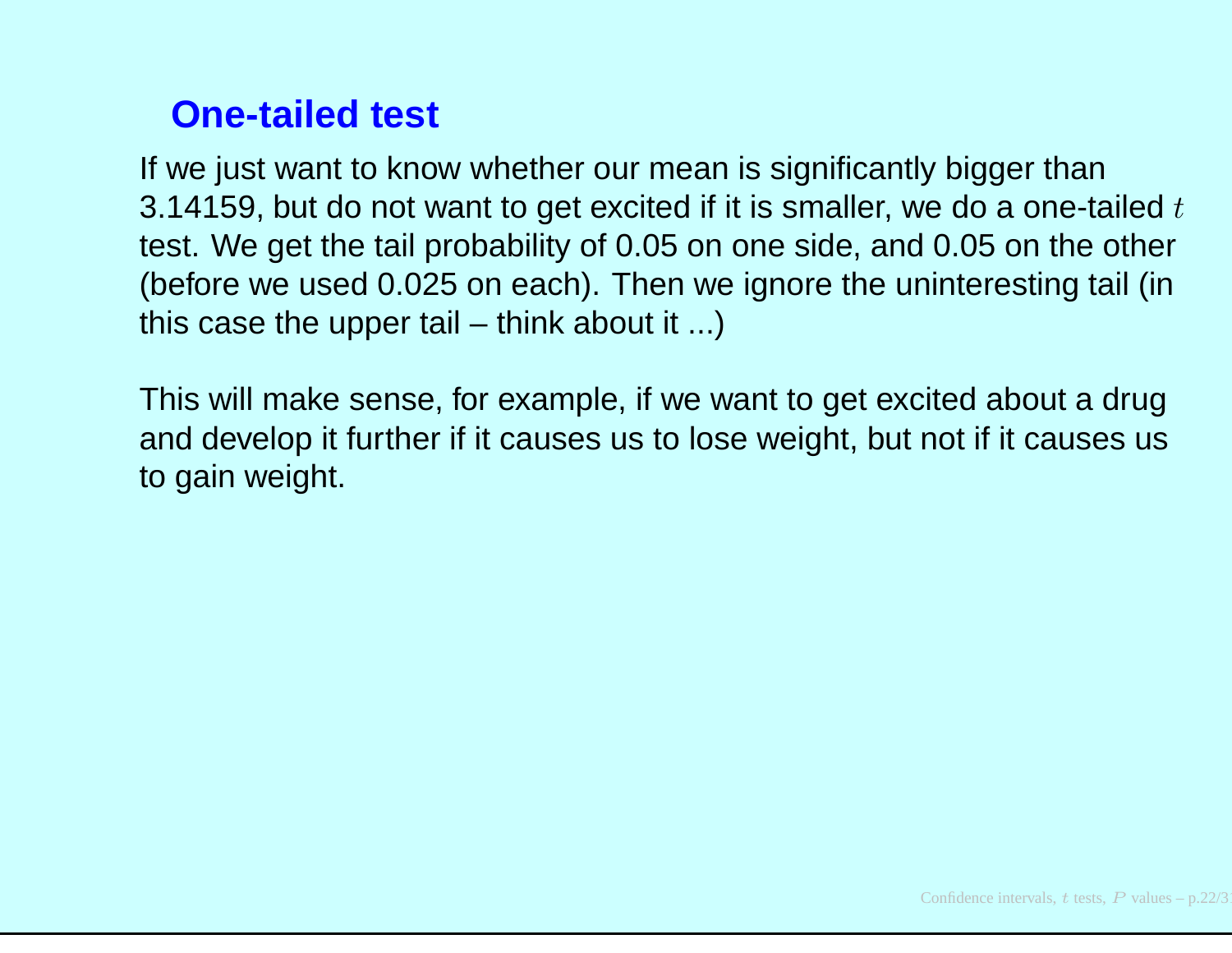# **One-tailed test**

If we just want to know whether our mean is significantly bigger than3.14159, but do not want to get excited if it is smaller, we do a one-tailed  $t$ test. We get the tail probability of 0.05 on one side, and 0.05 on the other (before we used 0.025 on each). Then we ignore the uninteresting tail (inthis case the upper tail – think about it ...)

This will make sense, for example, if we want to get excited about <sup>a</sup> drug and develop it further if it causes us to lose weight, but not if it causes usto gain weight.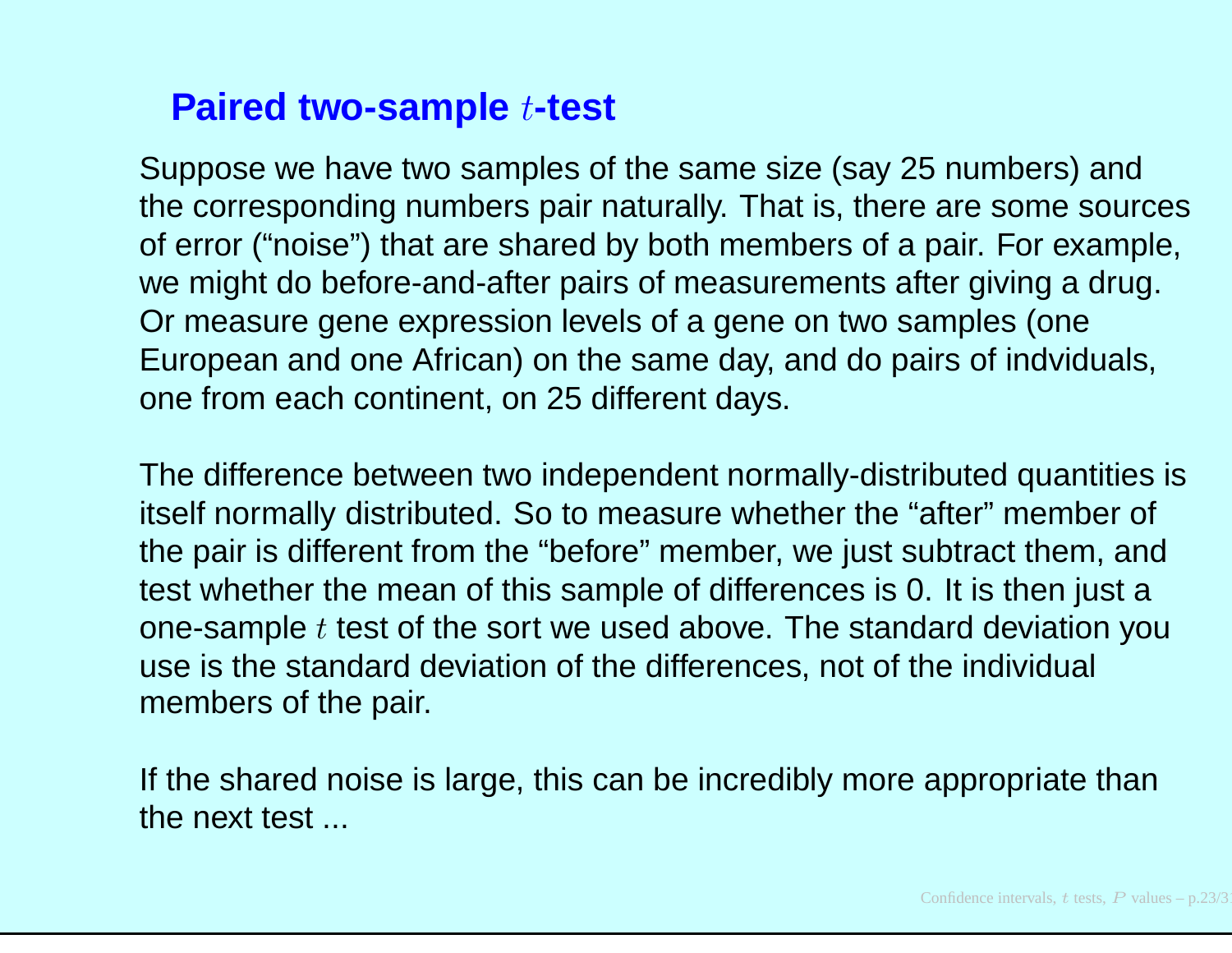# **Paired two-sample** <sup>t</sup>**-test**

Suppose we have two samples of the same size (say 25 numbers) and the corresponding numbers pair naturally. That is, there are some sources of error ("noise") that are shared by both members of <sup>a</sup> pair. For example, we might do before-and-after pairs of measurements after giving <sup>a</sup> drug. Or measure gene expression levels of <sup>a</sup> gene on two samples (one European and one African) on the same day, and do pairs of indviduals, one from each continent, on 25 different days.

The difference between two independent normally-distributed quantities isitself normally distributed. So to measure whether the "after" member of the pair is different from the "before" member, we just subtract them, and test whether the mean of this sample of differences is 0. It is then just <sup>a</sup>one-sample  $t$  test of the sort we used above. The standard deviation you use is the standard deviation of the differences, not of the individual members of the pair.

If the shared noise is large, this can be incredibly more appropriate thanthe next test ...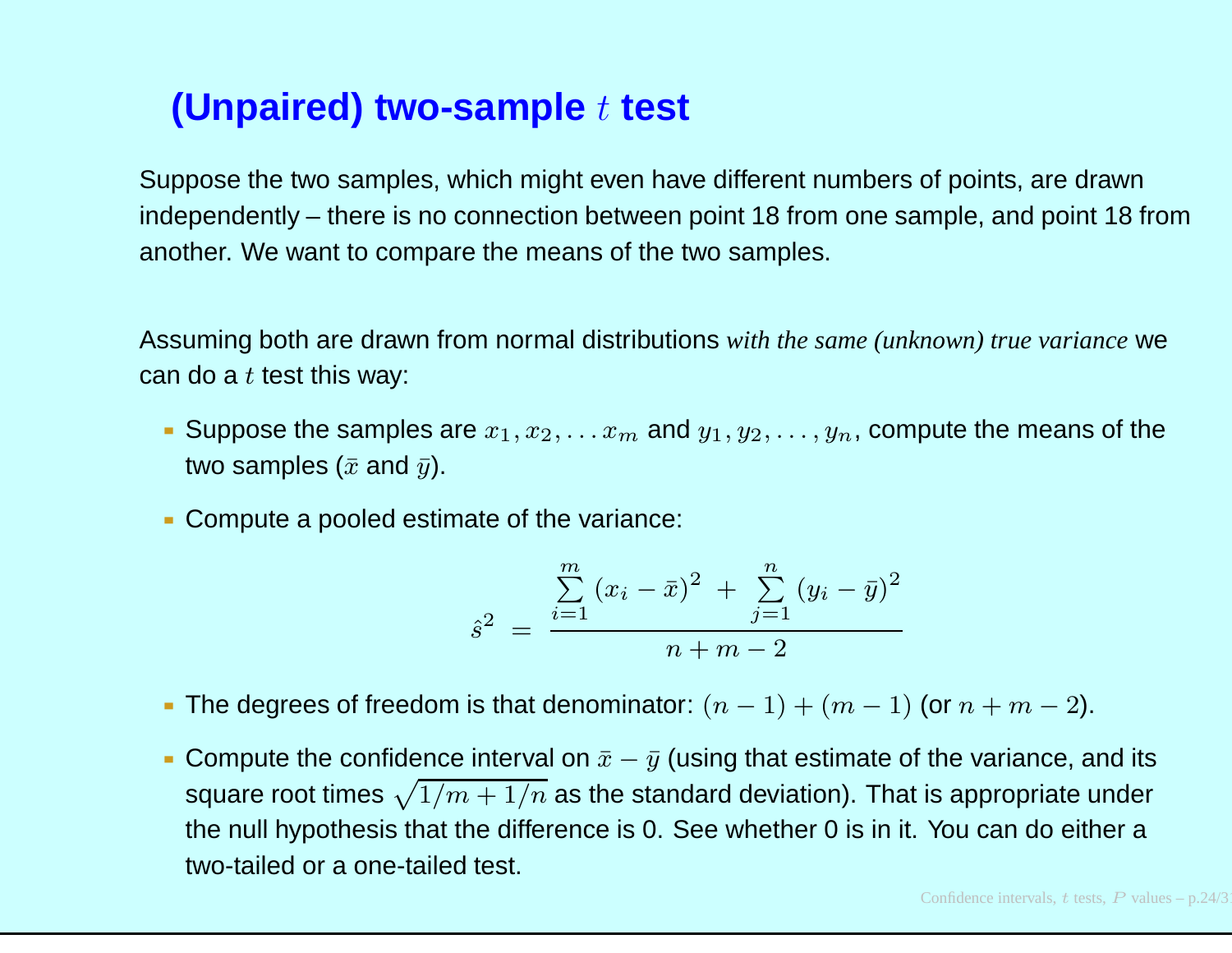# **(Unpaired) two-sample**t **test**

Suppose the two samples, which might even have different numbers of points, are drawn independently – there is no connection between point 18 from one sample, and point <sup>18</sup> from another. We want to compare the means of the two samples.

Assuming both are drawn from normal distributions *with the same (unknown) true variance* wecan do a  $t$  test this way:

- Suppose the samples are  $x_1, x_2, \ldots x_m$  $_m$  and  $y_1, y_2, \ldots, y_n$ , compute the means of the two samples ( $\bar{x}$  and  $\bar{y}$ ).
- Compute <sup>a</sup> pooled estimate of the variance:

$$
\hat{s}^{2} = \frac{\sum_{i=1}^{m} (x_i - \bar{x})^2 + \sum_{j=1}^{n} (y_i - \bar{y})^2}{n + m - 2}
$$

- The degrees of freedom is that denominator:  $(n-1) + (m-1)$  (or  $n+m-2$ ).
- Compute the confidence interval on  $\bar{x}-\bar{y}$  (using that estimate of the variance, and its square root times  $\sqrt{1/m + 1/n}$  as the standard deviation). That is appropriate under<br>the null bunethesis that the difference is 0. See whather 0 is in it. You can de sither a the null hypothesis that the difference is 0. See whether 0 is in it. You can do either <sup>a</sup>two-tailed or <sup>a</sup> one-tailed test.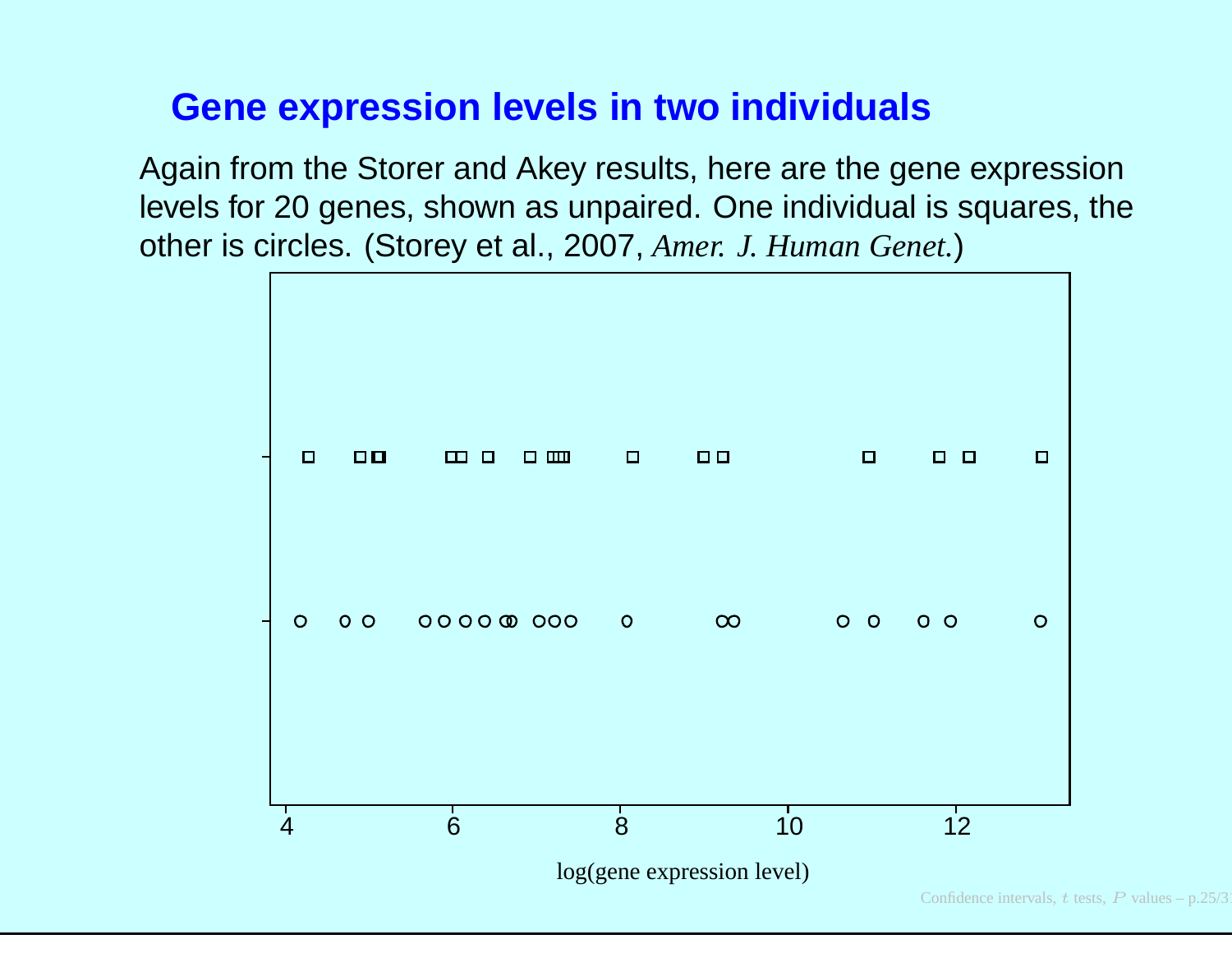### **Gene expression levels in two individuals**

Again from the Storer and Akey results, here are the gene expression levels for 20 genes, shown as unpaired. One individual is squares, theother is circles. (Storey et al., 2007, *Amer. J. Human Genet.* )

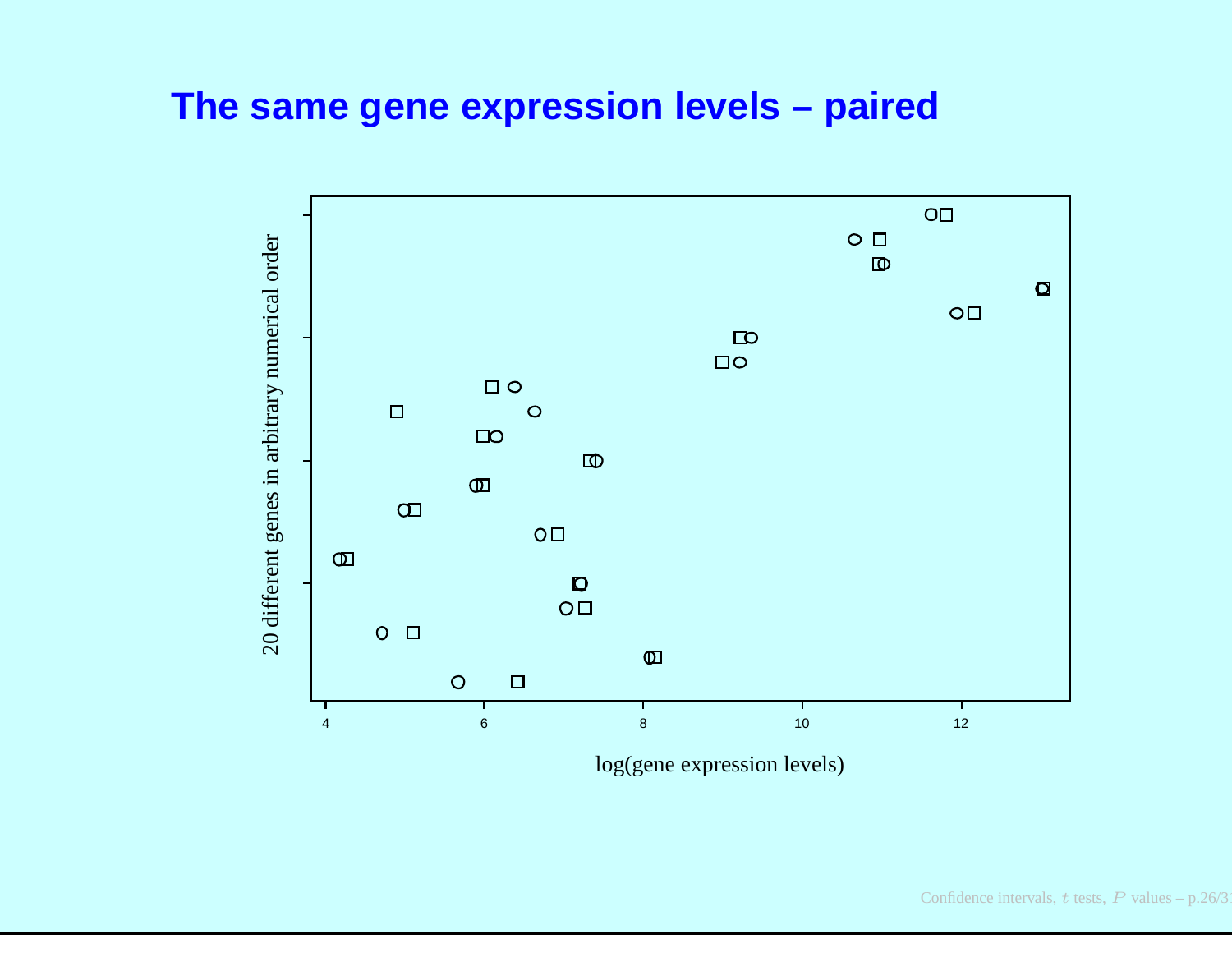#### **The same gene expression levels – paired**



log(gene expression levels)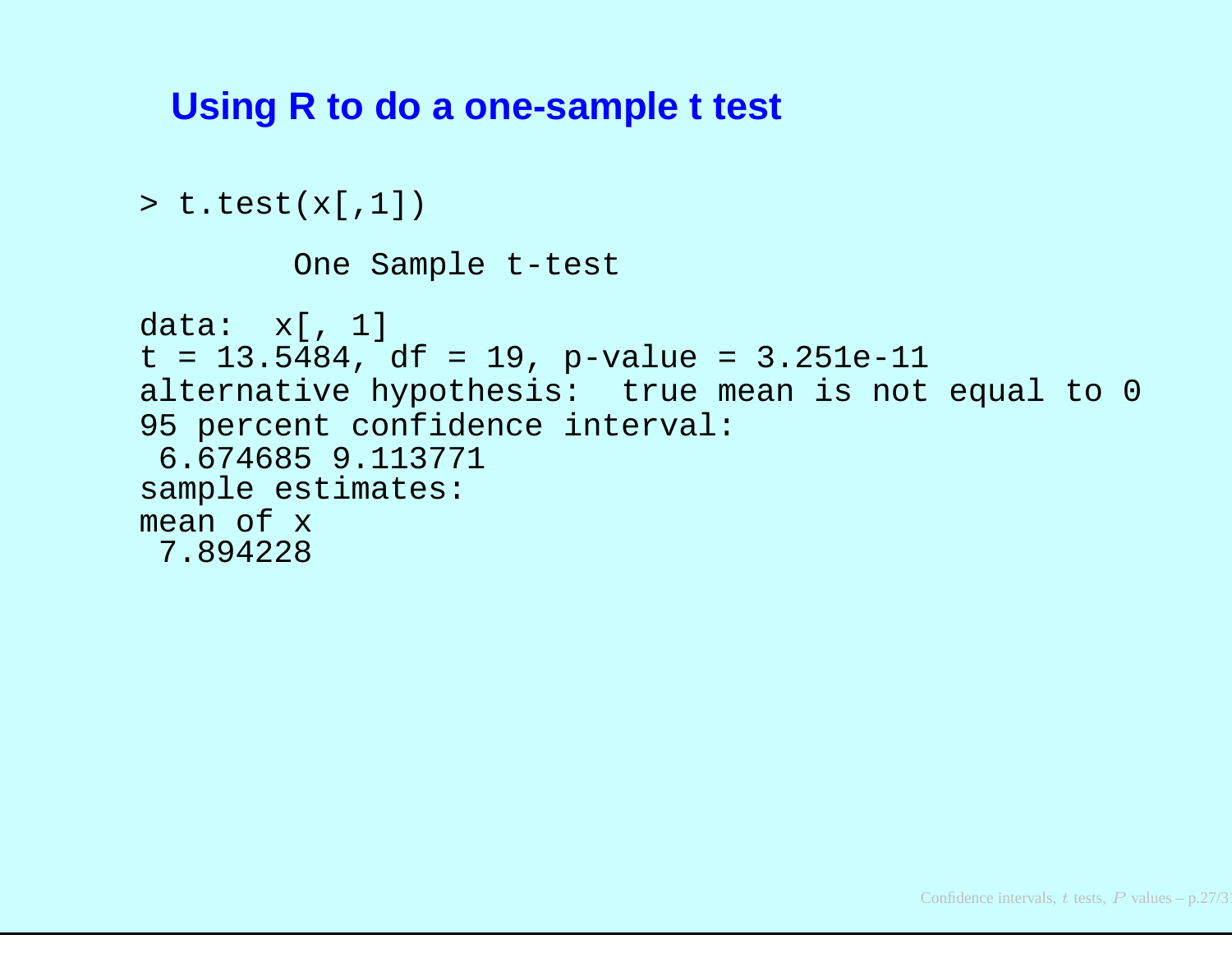#### **Using R to do <sup>a</sup> one-sample <sup>t</sup> test**

```
> t.test(x[,1])
        One Sample t-test
data: x[, 1]
t = 13.5484, df = 19, p-value = 3.251e-11
alternative hypothesis: true mean is not equal to 0
95 percent confidence interval:
 6.674685 9.113771
sample estimates:
mean of x
 7.894228
```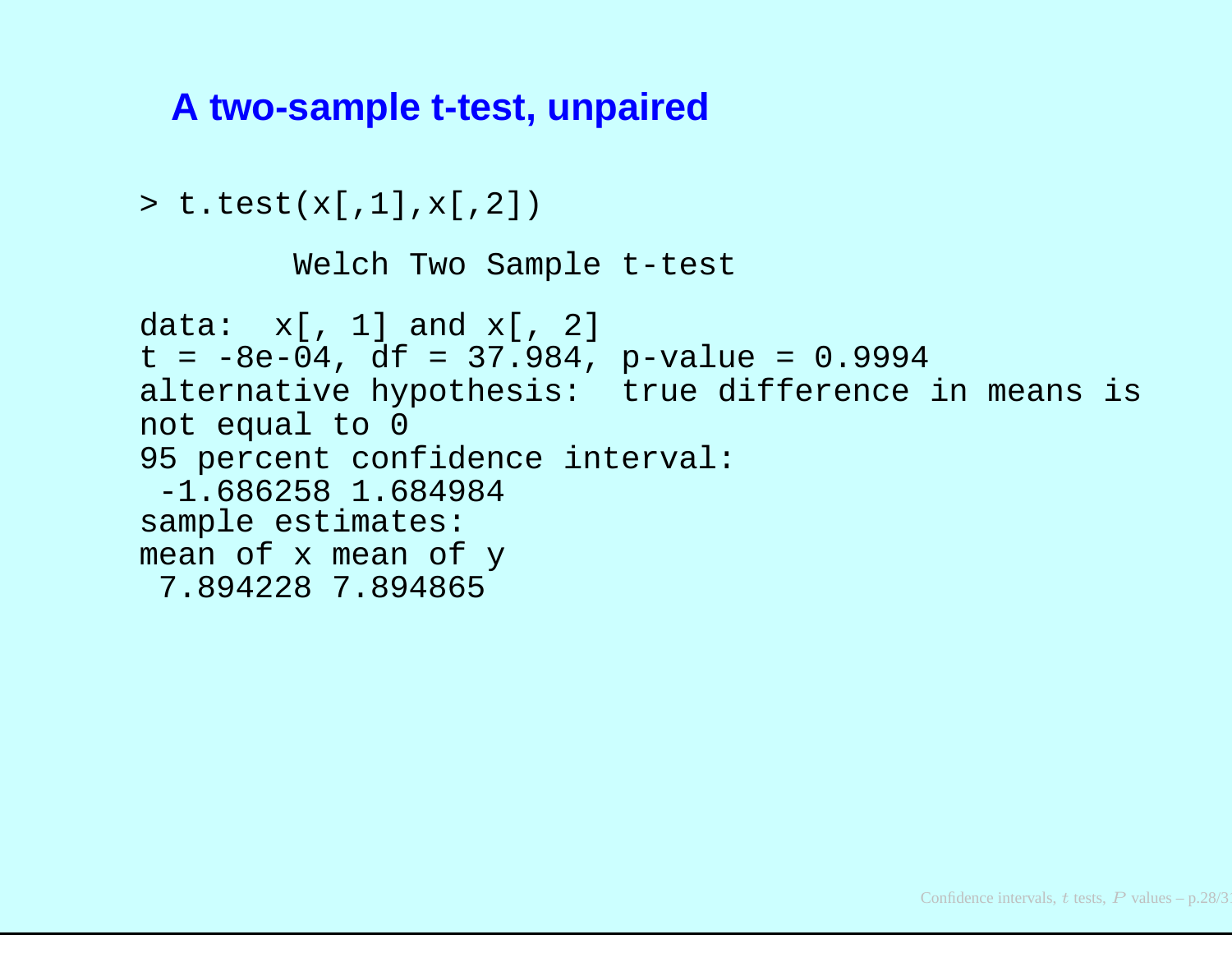#### **A two-sample t-test, unpaired**

```
> t.test(x[,1],x[,2])
```

```
Welch Two Sample t-test
```

```
data: x[, 1] and x[, 2]
t = -8e-04, df = 37.984, p-value = 0.9994
alternative hypothesis: true difference in means is
not equal to 0
95 percent confidence interval:
 -1.686258 1.684984
sample estimates:
mean of x mean of y
 7.894228 7.894865
```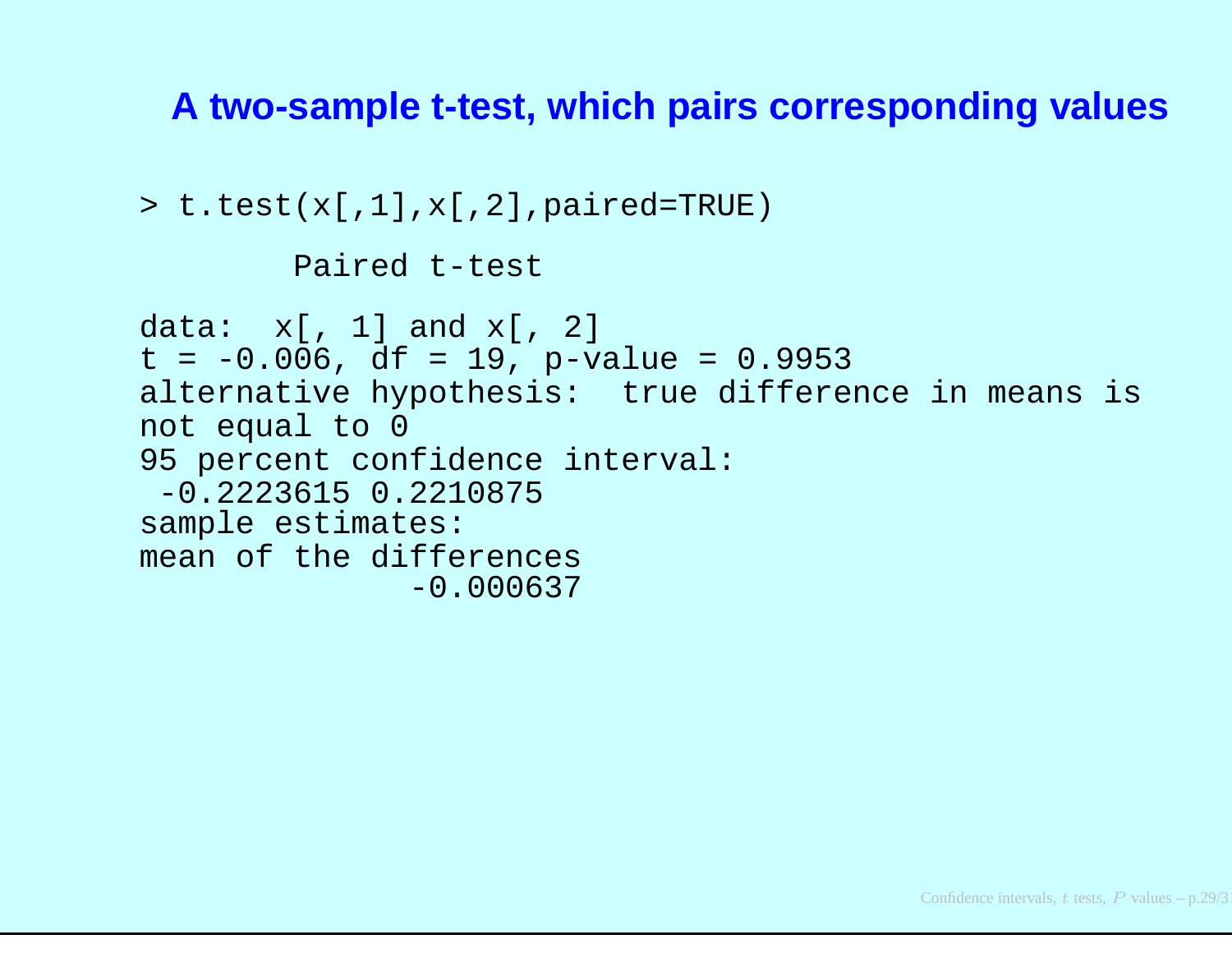#### **A two-sample t-test, which pairs corresponding values**

```
> t.test(x[,1],x[,2],paired=TRUE)
        Paired t-test
data: x[, 1] and x[, 2]
t = -0.006, df = 19, p-value = 0.9953
alternative hypothesis: true difference in means is
not equal to 0
95 percent confidence interval:
 -0.2223615 0.2210875
sample estimates:
mean of the differences
              -0.000637
```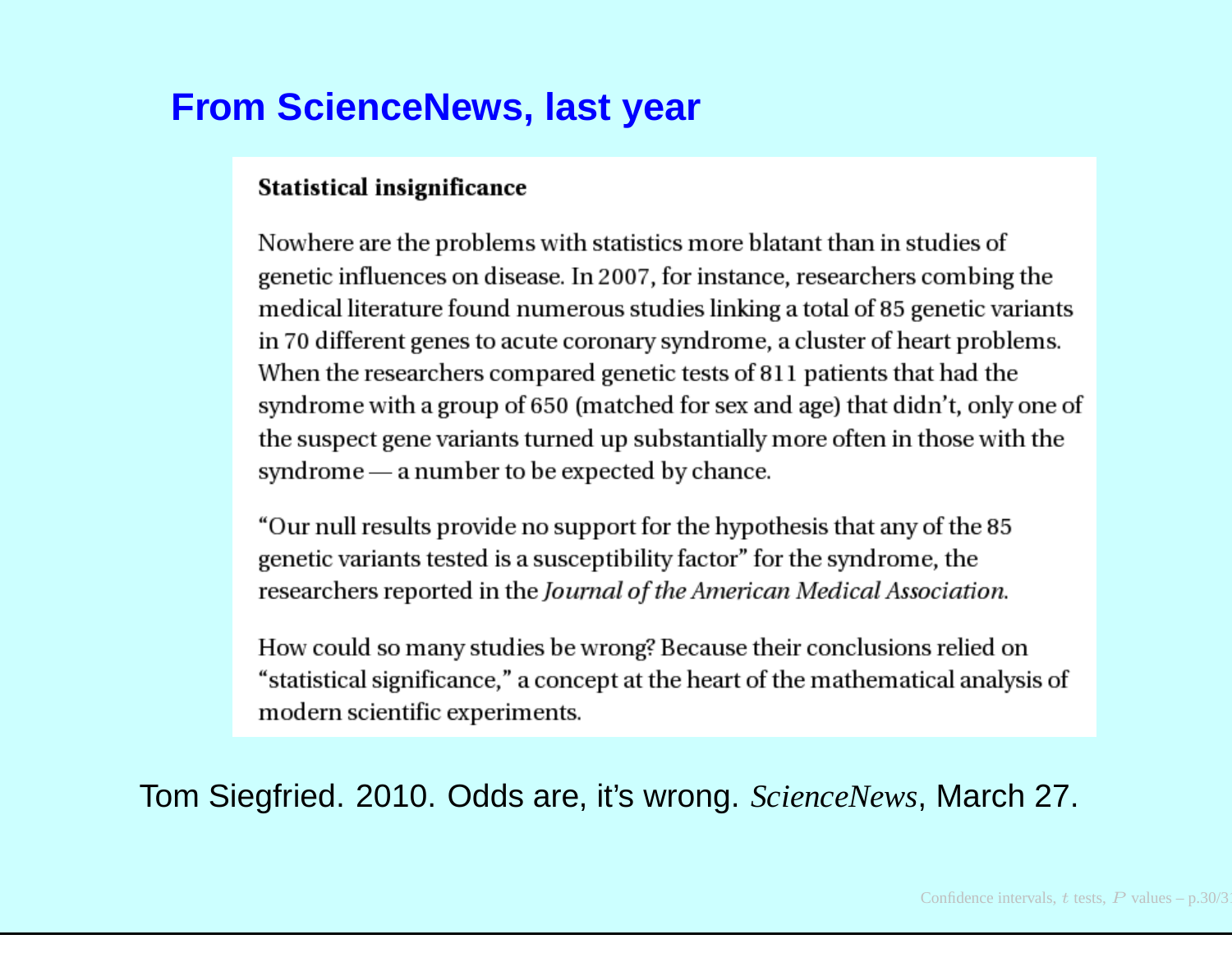#### **From ScienceNews, last year**

#### **Statistical insignificance**

Nowhere are the problems with statistics more blatant than in studies of genetic influences on disease. In 2007, for instance, researchers combing the medical literature found numerous studies linking a total of 85 genetic variants in 70 different genes to acute coronary syndrome, a cluster of heart problems. When the researchers compared genetic tests of 811 patients that had the syndrome with a group of 650 (matched for sex and age) that didn't, only one of the suspect gene variants turned up substantially more often in those with the syndrome — a number to be expected by chance.

"Our null results provide no support for the hypothesis that any of the 85" genetic variants tested is a susceptibility factor" for the syndrome, the researchers reported in the Journal of the American Medical Association.

How could so many studies be wrong? Because their conclusions relied on "statistical significance," a concept at the heart of the mathematical analysis of modern scientific experiments.

Tom Siegfried. 2010. Odds are, it's wrong. *ScienceNews*, March 27.